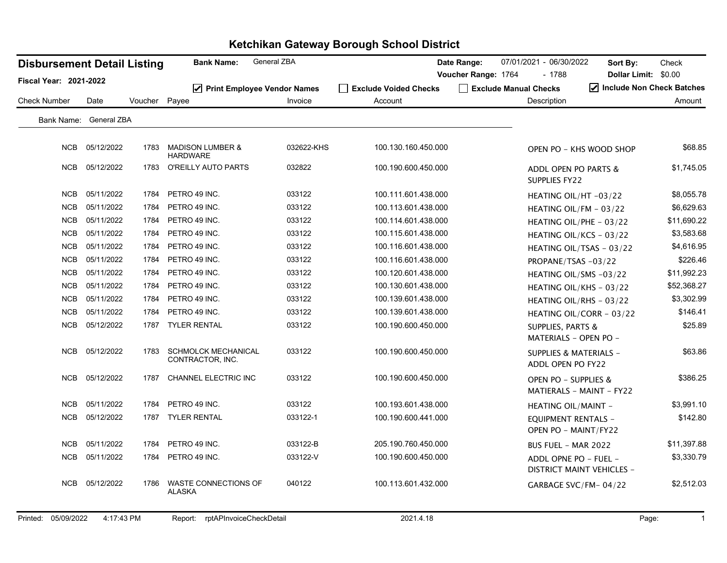| <b>Disbursement Detail Listing</b> |            |         | <b>Bank Name:</b>                              | General ZBA |                       | Date Range:<br>07/01/2021 - 06/30/2022 | Sort By:                                                  | Check       |
|------------------------------------|------------|---------|------------------------------------------------|-------------|-----------------------|----------------------------------------|-----------------------------------------------------------|-------------|
| Fiscal Year: 2021-2022             |            |         |                                                |             |                       | Voucher Range: 1764<br>- 1788          | Dollar Limit: \$0.00                                      |             |
| <b>Check Number</b>                | Date       | Voucher | ☑ Print Employee Vendor Names<br>Payee         | Invoice     | Exclude Voided Checks | Exclude Manual Checks<br>Description   | $\blacktriangleright$ Include Non Check Batches           |             |
|                                    |            |         |                                                |             | Account               |                                        |                                                           | Amount      |
| Bank Name: General ZBA             |            |         |                                                |             |                       |                                        |                                                           |             |
| <b>NCB</b>                         | 05/12/2022 | 1783    | <b>MADISON LUMBER &amp;</b><br><b>HARDWARE</b> | 032622-KHS  | 100.130.160.450.000   |                                        | OPEN PO - KHS WOOD SHOP                                   | \$68.85     |
| <b>NCB</b>                         | 05/12/2022 | 1783    | <b>O'REILLY AUTO PARTS</b>                     | 032822      | 100.190.600.450.000   | SUPPLIES FY22                          | ADDL OPEN PO PARTS &                                      | \$1,745.05  |
| <b>NCB</b>                         | 05/11/2022 | 1784    | PETRO 49 INC.                                  | 033122      | 100.111.601.438.000   |                                        | HEATING OIL/HT-03/22                                      | \$8,055.78  |
| <b>NCB</b>                         | 05/11/2022 | 1784    | PETRO 49 INC.                                  | 033122      | 100.113.601.438.000   |                                        | HEATING OIL/FM $-$ 03/22                                  | \$6,629.63  |
| <b>NCB</b>                         | 05/11/2022 | 1784    | PETRO 49 INC.                                  | 033122      | 100.114.601.438.000   |                                        | HEATING OIL/PHE - 03/22                                   | \$11,690.22 |
| <b>NCB</b>                         | 05/11/2022 | 1784    | PETRO 49 INC.                                  | 033122      | 100.115.601.438.000   |                                        | HEATING OIL/KCS - 03/22                                   | \$3,583.68  |
| <b>NCB</b>                         | 05/11/2022 | 1784    | PETRO 49 INC.                                  | 033122      | 100.116.601.438.000   |                                        | HEATING OIL/TSAS - 03/22                                  | \$4,616.95  |
| <b>NCB</b>                         | 05/11/2022 | 1784    | PETRO 49 INC.                                  | 033122      | 100.116.601.438.000   |                                        | PROPANE/TSAS-03/22                                        | \$226.46    |
| <b>NCB</b>                         | 05/11/2022 | 1784    | PETRO 49 INC.                                  | 033122      | 100.120.601.438.000   |                                        | HEATING OIL/SMS -03/22                                    | \$11,992.23 |
| <b>NCB</b>                         | 05/11/2022 | 1784    | PETRO 49 INC.                                  | 033122      | 100.130.601.438.000   |                                        | HEATING OIL/KHS - 03/22                                   | \$52,368.27 |
| <b>NCB</b>                         | 05/11/2022 | 1784    | PETRO 49 INC.                                  | 033122      | 100.139.601.438.000   |                                        | HEATING OIL/RHS - 03/22                                   | \$3,302.99  |
| <b>NCB</b>                         | 05/11/2022 | 1784    | PETRO 49 INC.                                  | 033122      | 100.139.601.438.000   |                                        | HEATING OIL/CORR - 03/22                                  | \$146.41    |
| <b>NCB</b>                         | 05/12/2022 | 1787    | <b>TYLER RENTAL</b>                            | 033122      | 100.190.600.450.000   | <b>SUPPLIES, PARTS &amp;</b>           | MATERIALS - OPEN PO -                                     | \$25.89     |
| <b>NCB</b>                         | 05/12/2022 | 1783    | <b>SCHMOLCK MECHANICAL</b><br>CONTRACTOR, INC. | 033122      | 100.190.600.450.000   |                                        | SUPPLIES & MATERIALS -<br>ADDL OPEN PO FY22               | \$63.86     |
| <b>NCB</b>                         | 05/12/2022 | 1787    | CHANNEL ELECTRIC INC                           | 033122      | 100.190.600.450.000   |                                        | OPEN PO - SUPPLIES &<br><b>MATIERALS - MAINT - FY22</b>   | \$386.25    |
| <b>NCB</b>                         | 05/11/2022 | 1784    | PETRO 49 INC.                                  | 033122      | 100.193.601.438.000   |                                        | <b>HEATING OIL/MAINT -</b>                                | \$3,991.10  |
| <b>NCB</b>                         | 05/12/2022 | 1787    | <b>TYLER RENTAL</b>                            | 033122-1    | 100.190.600.441.000   |                                        | <b>EQUIPMENT RENTALS -</b><br>OPEN PO - MAINT/FY22        | \$142.80    |
| <b>NCB</b>                         | 05/11/2022 | 1784    | PETRO 49 INC.                                  | 033122-B    | 205.190.760.450.000   |                                        | <b>BUS FUEL - MAR 2022</b>                                | \$11,397.88 |
| <b>NCB</b>                         | 05/11/2022 | 1784    | PETRO 49 INC.                                  | 033122-V    | 100.190.600.450.000   |                                        | ADDL OPNE PO - FUEL -<br><b>DISTRICT MAINT VEHICLES -</b> | \$3,330.79  |
| <b>NCB</b>                         | 05/12/2022 | 1786    | WASTE CONNECTIONS OF<br><b>ALASKA</b>          | 040122      | 100.113.601.432.000   |                                        | GARBAGE SVC/FM-04/22                                      | \$2,512.03  |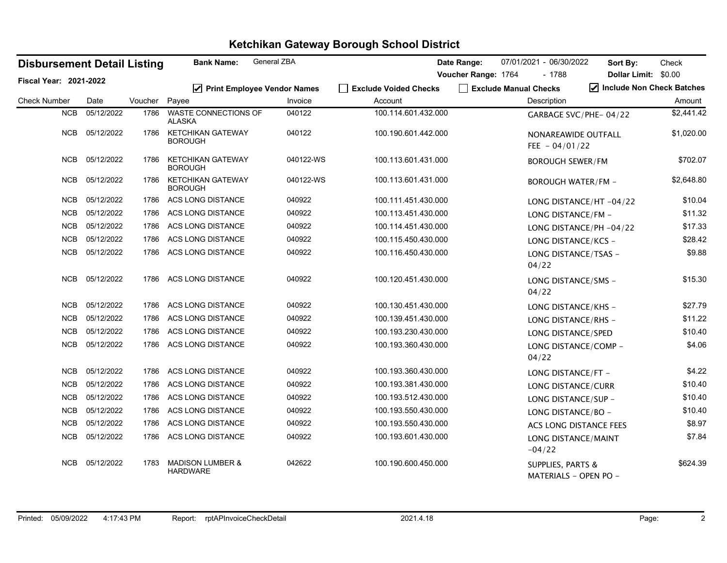| <b>Disbursement Detail Listing</b> |            |         | <b>Bank Name:</b>                              | <b>General ZBA</b>                 |                       | Date Range:         | 07/01/2021 - 06/30/2022      | Sort By:                     | Check                     |
|------------------------------------|------------|---------|------------------------------------------------|------------------------------------|-----------------------|---------------------|------------------------------|------------------------------|---------------------------|
| <b>Fiscal Year: 2021-2022</b>      |            |         |                                                |                                    |                       | Voucher Range: 1764 | $-1788$                      | Dollar Limit: \$0.00         |                           |
|                                    |            |         | ☑                                              | <b>Print Employee Vendor Names</b> | Exclude Voided Checks |                     | Exclude Manual Checks        |                              | Include Non Check Batches |
| <b>Check Number</b>                | Date       | Voucher | Payee                                          | Invoice                            | Account               |                     | Description                  |                              | Amount                    |
| <b>NCB</b>                         | 05/12/2022 | 1786    | <b>WASTE CONNECTIONS OF</b><br><b>ALASKA</b>   | 040122                             | 100.114.601.432.000   |                     |                              | GARBAGE SVC/PHE-04/22        | \$2,441.42                |
| <b>NCB</b>                         | 05/12/2022 | 1786    | <b>KETCHIKAN GATEWAY</b><br><b>BOROUGH</b>     | 040122                             | 100.190.601.442.000   |                     | FEE $-04/01/22$              | NONAREAWIDE OUTFALL          | \$1,020.00                |
| <b>NCB</b>                         | 05/12/2022 | 1786    | <b>KETCHIKAN GATEWAY</b><br><b>BOROUGH</b>     | 040122-WS                          | 100.113.601.431.000   |                     | <b>BOROUGH SEWER/FM</b>      |                              | \$702.07                  |
| <b>NCB</b>                         | 05/12/2022 | 1786    | <b>KETCHIKAN GATEWAY</b><br><b>BOROUGH</b>     | 040122-WS                          | 100.113.601.431.000   |                     |                              | <b>BOROUGH WATER/FM -</b>    | \$2,648.80                |
| <b>NCB</b>                         | 05/12/2022 | 1786    | ACS LONG DISTANCE                              | 040922                             | 100.111.451.430.000   |                     |                              | LONG DISTANCE/HT-04/22       | \$10.04                   |
| <b>NCB</b>                         | 05/12/2022 | 1786    | ACS LONG DISTANCE                              | 040922                             | 100.113.451.430.000   |                     | LONG DISTANCE/FM -           |                              | \$11.32                   |
| <b>NCB</b>                         | 05/12/2022 | 1786    | <b>ACS LONG DISTANCE</b>                       | 040922                             | 100.114.451.430.000   |                     |                              | LONG DISTANCE/PH -04/22      | \$17.33                   |
| <b>NCB</b>                         | 05/12/2022 | 1786    | ACS LONG DISTANCE                              | 040922                             | 100.115.450.430.000   |                     |                              | LONG DISTANCE/KCS -          | \$28.42                   |
| <b>NCB</b>                         | 05/12/2022 | 1786    | ACS LONG DISTANCE                              | 040922                             | 100.116.450.430.000   |                     | 04/22                        | LONG DISTANCE/TSAS -         | \$9.88                    |
| <b>NCB</b>                         | 05/12/2022 | 1786    | ACS LONG DISTANCE                              | 040922                             | 100.120.451.430.000   |                     | 04/22                        | LONG DISTANCE/SMS -          | \$15.30                   |
| <b>NCB</b>                         | 05/12/2022 | 1786    | ACS LONG DISTANCE                              | 040922                             | 100.130.451.430.000   |                     |                              | LONG DISTANCE/KHS -          | \$27.79                   |
| <b>NCB</b>                         | 05/12/2022 | 1786    | ACS LONG DISTANCE                              | 040922                             | 100.139.451.430.000   |                     |                              | LONG DISTANCE/RHS -          | \$11.22                   |
| <b>NCB</b>                         | 05/12/2022 | 1786    | ACS LONG DISTANCE                              | 040922                             | 100.193.230.430.000   |                     | LONG DISTANCE/SPED           |                              | \$10.40                   |
| <b>NCB</b>                         | 05/12/2022 | 1786    | ACS LONG DISTANCE                              | 040922                             | 100.193.360.430.000   |                     | 04/22                        | LONG DISTANCE/COMP -         | \$4.06                    |
| <b>NCB</b>                         | 05/12/2022 | 1786    | <b>ACS LONG DISTANCE</b>                       | 040922                             | 100.193.360.430.000   |                     | LONG DISTANCE/FT -           |                              | \$4.22                    |
| <b>NCB</b>                         | 05/12/2022 | 1786    | ACS LONG DISTANCE                              | 040922                             | 100.193.381.430.000   |                     |                              | LONG DISTANCE/CURR           | \$10.40                   |
| <b>NCB</b>                         | 05/12/2022 | 1786    | <b>ACS LONG DISTANCE</b>                       | 040922                             | 100.193.512.430.000   |                     |                              | LONG DISTANCE/SUP -          | \$10.40                   |
| <b>NCB</b>                         | 05/12/2022 | 1786    | ACS LONG DISTANCE                              | 040922                             | 100.193.550.430.000   |                     | LONG DISTANCE/BO -           |                              | \$10.40                   |
| <b>NCB</b>                         | 05/12/2022 | 1786    | ACS LONG DISTANCE                              | 040922                             | 100.193.550.430.000   |                     |                              | ACS LONG DISTANCE FEES       | \$8.97                    |
| <b>NCB</b>                         | 05/12/2022 | 1786    | ACS LONG DISTANCE                              | 040922                             | 100.193.601.430.000   |                     | $-04/22$                     | LONG DISTANCE/MAINT          | \$7.84                    |
| <b>NCB</b>                         | 05/12/2022 | 1783    | <b>MADISON LUMBER &amp;</b><br><b>HARDWARE</b> | 042622                             | 100.190.600.450.000   |                     | <b>SUPPLIES, PARTS &amp;</b> | <b>MATERIALS - OPEN PO -</b> | \$624.39                  |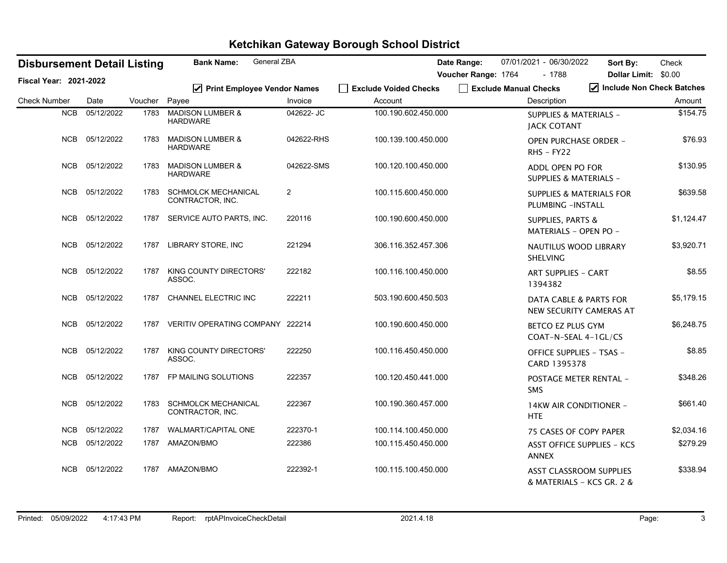| <b>Disbursement Detail Listing</b> |            |               | General ZBA<br><b>Bank Name:</b>               |                         |                       | Date Range:         | 07/01/2021 - 06/30/2022                                      | Sort By:                  | Check      |
|------------------------------------|------------|---------------|------------------------------------------------|-------------------------|-----------------------|---------------------|--------------------------------------------------------------|---------------------------|------------|
| <b>Fiscal Year: 2021-2022</b>      |            |               |                                                |                         |                       | Voucher Range: 1764 | $-1788$                                                      | Dollar Limit: \$0.00      |            |
|                                    |            |               | ☑ Print Employee Vendor Names                  |                         | Exclude Voided Checks |                     | Exclude Manual Checks                                        | Include Non Check Batches |            |
| <b>Check Number</b>                | Date       | Voucher Payee |                                                | Invoice                 | Account               |                     | Description                                                  |                           | Amount     |
| <b>NCB</b>                         | 05/12/2022 | 1783          | <b>MADISON LUMBER &amp;</b><br><b>HARDWARE</b> | 042622- JC              | 100.190.602.450.000   |                     | <b>SUPPLIES &amp; MATERIALS -</b><br><b>JACK COTANT</b>      |                           | \$154.75   |
| <b>NCB</b>                         | 05/12/2022 | 1783          | <b>MADISON LUMBER &amp;</b><br><b>HARDWARE</b> | 042622-RHS              | 100.139.100.450.000   |                     | <b>OPEN PURCHASE ORDER -</b><br>$R$ HS - FY22                |                           | \$76.93    |
| <b>NCB</b>                         | 05/12/2022 | 1783          | <b>MADISON LUMBER &amp;</b><br><b>HARDWARE</b> | 042622-SMS              | 100.120.100.450.000   |                     | ADDL OPEN PO FOR<br>SUPPLIES & MATERIALS -                   |                           | \$130.95   |
| NCB                                | 05/12/2022 | 1783          | <b>SCHMOLCK MECHANICAL</b><br>CONTRACTOR, INC. | $\overline{\mathbf{c}}$ | 100.115.600.450.000   |                     | <b>SUPPLIES &amp; MATERIALS FOR</b><br>PLUMBING - INSTALL    |                           | \$639.58   |
| <b>NCB</b>                         | 05/12/2022 | 1787          | SERVICE AUTO PARTS, INC.                       | 220116                  | 100.190.600.450.000   |                     | <b>SUPPLIES, PARTS &amp;</b><br>MATERIALS - OPEN PO -        |                           | \$1,124.47 |
| NCB                                | 05/12/2022 | 1787          | LIBRARY STORE, INC                             | 221294                  | 306.116.352.457.306   |                     | <b>NAUTILUS WOOD LIBRARY</b><br><b>SHELVING</b>              |                           | \$3,920.71 |
| <b>NCB</b>                         | 05/12/2022 | 1787          | KING COUNTY DIRECTORS'<br>ASSOC.               | 222182                  | 100.116.100.450.000   |                     | <b>ART SUPPLIES - CART</b><br>1394382                        |                           | \$8.55     |
| <b>NCB</b>                         | 05/12/2022 | 1787          | CHANNEL ELECTRIC INC                           | 222211                  | 503.190.600.450.503   |                     | <b>DATA CABLE &amp; PARTS FOR</b><br>NEW SECURITY CAMERAS AT |                           | \$5,179.15 |
| <b>NCB</b>                         | 05/12/2022 | 1787          | VERITIV OPERATING COMPANY 222214               |                         | 100.190.600.450.000   |                     | <b>BETCO EZ PLUS GYM</b><br>COAT-N-SEAL 4-1GL/CS             |                           | \$6,248.75 |
| NCB                                | 05/12/2022 | 1787          | KING COUNTY DIRECTORS'<br>ASSOC.               | 222250                  | 100.116.450.450.000   |                     | <b>OFFICE SUPPLIES - TSAS -</b><br>CARD 1395378              |                           | \$8.85     |
| <b>NCB</b>                         | 05/12/2022 | 1787          | FP MAILING SOLUTIONS                           | 222357                  | 100.120.450.441.000   |                     | POSTAGE METER RENTAL -<br><b>SMS</b>                         |                           | \$348.26   |
| <b>NCB</b>                         | 05/12/2022 | 1783          | <b>SCHMOLCK MECHANICAL</b><br>CONTRACTOR, INC. | 222367                  | 100.190.360.457.000   |                     | 14KW AIR CONDITIONER -<br><b>HTE</b>                         |                           | \$661.40   |
| <b>NCB</b>                         | 05/12/2022 | 1787          | WALMART/CAPITAL ONE                            | 222370-1                | 100.114.100.450.000   |                     | 75 CASES OF COPY PAPER                                       |                           | \$2,034.16 |
| <b>NCB</b>                         | 05/12/2022 | 1787          | AMAZON/BMO                                     | 222386                  | 100.115.450.450.000   |                     | <b>ASST OFFICE SUPPLIES - KCS</b><br><b>ANNEX</b>            |                           | \$279.29   |
| <b>NCB</b>                         | 05/12/2022 | 1787          | AMAZON/BMO                                     | 222392-1                | 100.115.100.450.000   |                     | <b>ASST CLASSROOM SUPPLIES</b><br>& MATERIALS – KCS GR. 2 &  |                           | \$338.94   |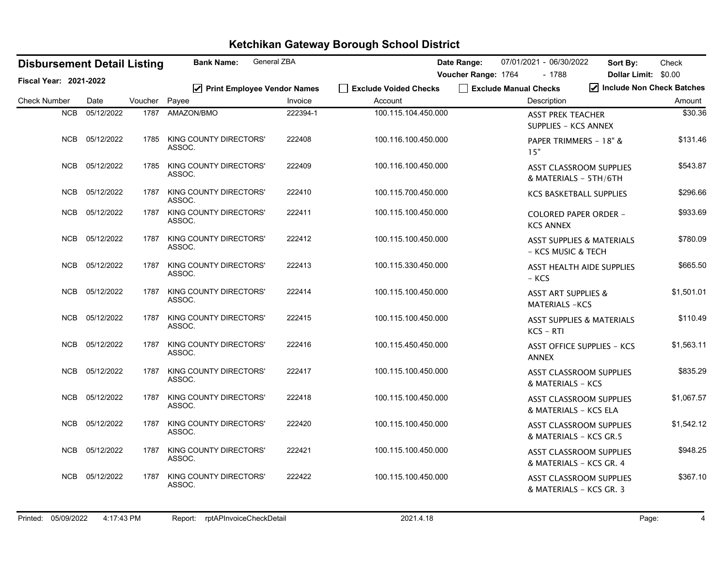| <b>Disbursement Detail Listing</b> |                |         | <b>Bank Name:</b>                       | General ZBA                                            |                                         | Date Range:           | 07/01/2021 - 06/30/2022                                    | Sort By:                  | Check      |
|------------------------------------|----------------|---------|-----------------------------------------|--------------------------------------------------------|-----------------------------------------|-----------------------|------------------------------------------------------------|---------------------------|------------|
| <b>Fiscal Year: 2021-2022</b>      |                |         |                                         |                                                        |                                         | Voucher Range: 1764   | - 1788                                                     | Dollar Limit: \$0.00      |            |
| <b>Check Number</b>                | Date           | Voucher | Payee                                   | $\triangledown$ Print Employee Vendor Names<br>Invoice | <b>Exclude Voided Checks</b><br>Account | Exclude Manual Checks | Description                                                | Include Non Check Batches | Amount     |
| <b>NCB</b>                         | 05/12/2022     | 1787    | AMAZON/BMO                              | 222394-1                                               |                                         |                       |                                                            |                           | \$30.36    |
|                                    |                |         |                                         |                                                        | 100.115.104.450.000                     |                       | <b>ASST PREK TEACHER</b><br><b>SUPPLIES - KCS ANNEX</b>    |                           |            |
|                                    | NCB 05/12/2022 | 1785    | <b>KING COUNTY DIRECTORS'</b><br>ASSOC. | 222408                                                 | 100.116.100.450.000                     |                       | PAPER TRIMMERS - 18" &<br>15"                              |                           | \$131.46   |
| <b>NCB</b>                         | 05/12/2022     | 1785    | <b>KING COUNTY DIRECTORS'</b><br>ASSOC. | 222409                                                 | 100.116.100.450.000                     |                       | <b>ASST CLASSROOM SUPPLIES</b><br>& MATERIALS - 5TH/6TH    |                           | \$543.87   |
| <b>NCB</b>                         | 05/12/2022     | 1787    | KING COUNTY DIRECTORS'<br>ASSOC.        | 222410                                                 | 100.115.700.450.000                     |                       | <b>KCS BASKETBALL SUPPLIES</b>                             |                           | \$296.66   |
|                                    | NCB 05/12/2022 | 1787    | KING COUNTY DIRECTORS'<br>ASSOC.        | 222411                                                 | 100.115.100.450.000                     |                       | <b>COLORED PAPER ORDER -</b><br><b>KCS ANNEX</b>           |                           | \$933.69   |
|                                    | NCB 05/12/2022 | 1787    | KING COUNTY DIRECTORS'<br>ASSOC.        | 222412                                                 | 100.115.100.450.000                     |                       | <b>ASST SUPPLIES &amp; MATERIALS</b><br>- KCS MUSIC & TECH |                           | \$780.09   |
|                                    | NCB 05/12/2022 | 1787    | <b>KING COUNTY DIRECTORS'</b><br>ASSOC. | 222413                                                 | 100.115.330.450.000                     |                       | ASST HEALTH AIDE SUPPLIES<br>- KCS                         |                           | \$665.50   |
| NCB                                | 05/12/2022     | 1787    | KING COUNTY DIRECTORS'<br>ASSOC.        | 222414                                                 | 100.115.100.450.000                     |                       | <b>ASST ART SUPPLIES &amp;</b><br><b>MATERIALS -KCS</b>    |                           | \$1,501.01 |
| NCB                                | 05/12/2022     | 1787    | KING COUNTY DIRECTORS'<br>ASSOC.        | 222415                                                 | 100.115.100.450.000                     |                       | <b>ASST SUPPLIES &amp; MATERIALS</b><br>$KCS - RTI$        |                           | \$110.49   |
| NCB                                | 05/12/2022     | 1787    | KING COUNTY DIRECTORS'<br>ASSOC.        | 222416                                                 | 100.115.450.450.000                     |                       | <b>ASST OFFICE SUPPLIES - KCS</b><br><b>ANNEX</b>          |                           | \$1,563.11 |
| NCB                                | 05/12/2022     | 1787    | KING COUNTY DIRECTORS'<br>ASSOC.        | 222417                                                 | 100.115.100.450.000                     |                       | <b>ASST CLASSROOM SUPPLIES</b><br>& MATERIALS - KCS        |                           | \$835.29   |
| NCB                                | 05/12/2022     | 1787    | <b>KING COUNTY DIRECTORS'</b><br>ASSOC. | 222418                                                 | 100.115.100.450.000                     |                       | <b>ASST CLASSROOM SUPPLIES</b><br>& MATERIALS - KCS ELA    |                           | \$1,067.57 |
| <b>NCB</b>                         | 05/12/2022     | 1787    | KING COUNTY DIRECTORS'<br>ASSOC.        | 222420                                                 | 100.115.100.450.000                     |                       | ASST CLASSROOM SUPPLIES<br>& MATERIALS - KCS GR.5          |                           | \$1,542.12 |
|                                    | NCB 05/12/2022 | 1787    | KING COUNTY DIRECTORS'<br>ASSOC.        | 222421                                                 | 100.115.100.450.000                     |                       | <b>ASST CLASSROOM SUPPLIES</b><br>& MATERIALS - KCS GR. 4  |                           | \$948.25   |
| NCB                                | 05/12/2022     | 1787    | KING COUNTY DIRECTORS'<br>ASSOC.        | 222422                                                 | 100.115.100.450.000                     |                       | <b>ASST CLASSROOM SUPPLIES</b><br>& MATERIALS - KCS GR. 3  |                           | \$367.10   |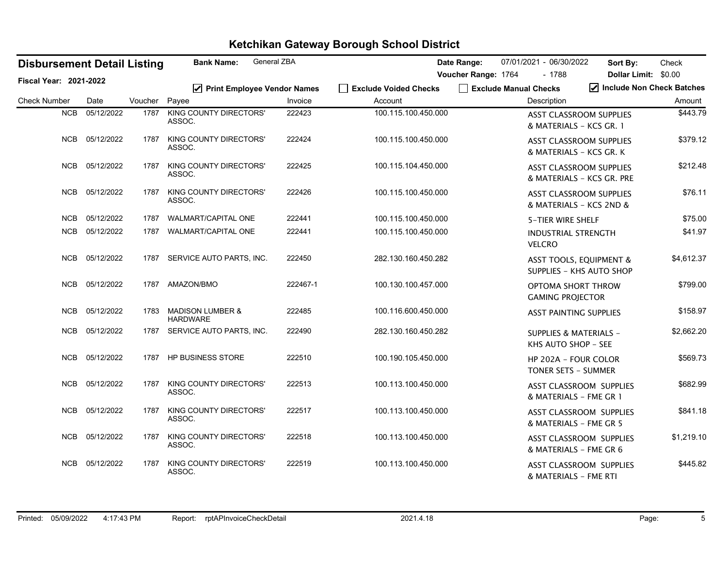| <b>Disbursement Detail Listing</b> |            |         | <b>Bank Name:</b>                              | General ZBA |                       | 07/01/2021 - 06/30/2022<br>Date Range:                         | Check<br>Sort By:                              |
|------------------------------------|------------|---------|------------------------------------------------|-------------|-----------------------|----------------------------------------------------------------|------------------------------------------------|
| Fiscal Year: 2021-2022             |            |         |                                                |             |                       | Voucher Range: 1764<br>$-1788$                                 | Dollar Limit: \$0.00                           |
|                                    |            |         | ☑ Print Employee Vendor Names                  |             | Fxclude Voided Checks | Exclude Manual Checks                                          | $\sqrt{\phantom{a}}$ Include Non Check Batches |
| <b>Check Number</b>                | Date       | Voucher | Payee                                          | Invoice     | Account               | Description                                                    | Amount                                         |
| <b>NCB</b>                         | 05/12/2022 | 1787    | <b>KING COUNTY DIRECTORS'</b><br>ASSOC.        | 222423      | 100.115.100.450.000   | <b>ASST CLASSROOM SUPPLIES</b><br>& MATERIALS - KCS GR. 1      | \$443.79                                       |
| <b>NCB</b>                         | 05/12/2022 | 1787    | KING COUNTY DIRECTORS'<br>ASSOC.               | 222424      | 100.115.100.450.000   | <b>ASST CLASSROOM SUPPLIES</b><br>& MATERIALS - KCS GR. K      | \$379.12                                       |
| <b>NCB</b>                         | 05/12/2022 | 1787    | KING COUNTY DIRECTORS'<br>ASSOC.               | 222425      | 100.115.104.450.000   | <b>ASST CLASSROOM SUPPLIES</b><br>& MATERIALS - KCS GR. PRE    | \$212.48                                       |
| <b>NCB</b>                         | 05/12/2022 | 1787    | KING COUNTY DIRECTORS'<br>ASSOC.               | 222426      | 100.115.100.450.000   | <b>ASST CLASSROOM SUPPLIES</b><br>& MATERIALS - KCS 2ND &      | \$76.11                                        |
| <b>NCB</b>                         | 05/12/2022 | 1787    | WALMART/CAPITAL ONE                            | 222441      | 100.115.100.450.000   | 5-TIER WIRE SHELF                                              | \$75.00                                        |
| NCB                                | 05/12/2022 | 1787    | <b>WALMART/CAPITAL ONE</b>                     | 222441      | 100.115.100.450.000   | <b>INDUSTRIAL STRENGTH</b><br><b>VELCRO</b>                    | \$41.97                                        |
| <b>NCB</b>                         | 05/12/2022 | 1787    | SERVICE AUTO PARTS, INC.                       | 222450      | 282.130.160.450.282   | <b>ASST TOOLS, EQUIPMENT &amp;</b><br>SUPPLIES - KHS AUTO SHOP | \$4,612.37                                     |
| <b>NCB</b>                         | 05/12/2022 | 1787    | AMAZON/BMO                                     | 222467-1    | 100.130.100.457.000   | OPTOMA SHORT THROW<br><b>GAMING PROJECTOR</b>                  | \$799.00                                       |
| <b>NCB</b>                         | 05/12/2022 | 1783    | <b>MADISON LUMBER &amp;</b><br><b>HARDWARE</b> | 222485      | 100.116.600.450.000   | <b>ASST PAINTING SUPPLIES</b>                                  | \$158.97                                       |
| <b>NCB</b>                         | 05/12/2022 | 1787    | SERVICE AUTO PARTS, INC.                       | 222490      | 282.130.160.450.282   | <b>SUPPLIES &amp; MATERIALS -</b><br>KHS AUTO SHOP - SEE       | \$2,662.20                                     |
| <b>NCB</b>                         | 05/12/2022 | 1787    | <b>HP BUSINESS STORE</b>                       | 222510      | 100.190.105.450.000   | <b>HP 202A - FOUR COLOR</b><br>TONER SETS - SUMMER             | \$569.73                                       |
| <b>NCB</b>                         | 05/12/2022 | 1787    | KING COUNTY DIRECTORS'<br>ASSOC.               | 222513      | 100.113.100.450.000   | ASST CLASSROOM SUPPLIES<br>& MATERIALS - FME GR 1              | \$682.99                                       |
| <b>NCB</b>                         | 05/12/2022 | 1787    | KING COUNTY DIRECTORS'<br>ASSOC.               | 222517      | 100.113.100.450.000   | <b>ASST CLASSROOM SUPPLIES</b><br>& MATERIALS - FME GR 5       | \$841.18                                       |
| <b>NCB</b>                         | 05/12/2022 | 1787    | <b>KING COUNTY DIRECTORS'</b><br>ASSOC.        | 222518      | 100.113.100.450.000   | <b>ASST CLASSROOM SUPPLIES</b><br>& MATERIALS - FME GR 6       | \$1,219.10                                     |
| NCB                                | 05/12/2022 | 1787    | KING COUNTY DIRECTORS'<br>ASSOC.               | 222519      | 100.113.100.450.000   | <b>ASST CLASSROOM SUPPLIES</b><br>& MATERIALS - FME RTI        | \$445.82                                       |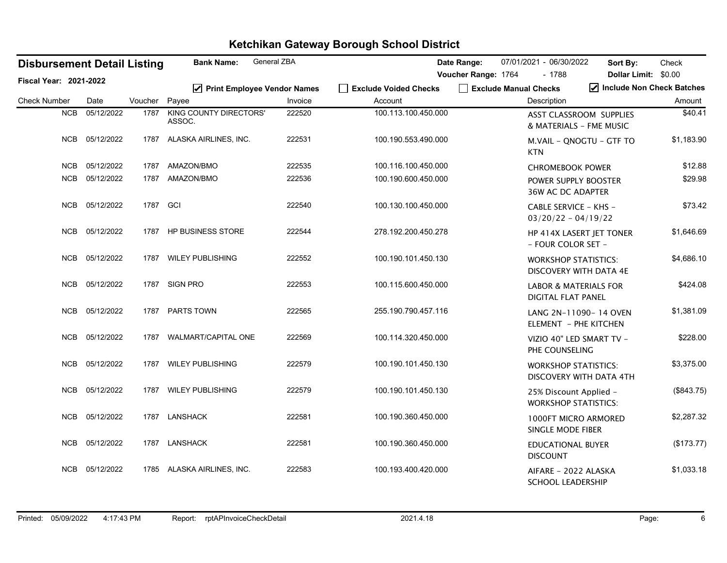| <b>Disbursement Detail Listing</b> |            |          | <b>Bank Name:</b>                       | General ZBA |                       | Date Range:                                  | 07/01/2021 - 06/30/2022                                       | Sort By:                                                                | Check      |
|------------------------------------|------------|----------|-----------------------------------------|-------------|-----------------------|----------------------------------------------|---------------------------------------------------------------|-------------------------------------------------------------------------|------------|
| Fiscal Year: 2021-2022             |            |          | ☑ Print Employee Vendor Names           |             | Exclude Voided Checks | Voucher Range: 1764<br>Exclude Manual Checks | $-1788$                                                       | Dollar Limit: \$0.00<br>$\blacktriangleright$ Include Non Check Batches |            |
| <b>Check Number</b>                | Date       | Voucher  | Payee                                   | Invoice     | Account               |                                              | Description                                                   |                                                                         | Amount     |
| NCB                                | 05/12/2022 | 1787     | <b>KING COUNTY DIRECTORS'</b><br>ASSOC. | 222520      | 100.113.100.450.000   |                                              | ASST CLASSROOM SUPPLIES<br>& MATERIALS - FME MUSIC            |                                                                         | \$40.41    |
| NCB                                | 05/12/2022 |          | 1787 ALASKA AIRLINES, INC.              | 222531      | 100.190.553.490.000   |                                              | M.VAIL - QNOGTU - GTF TO<br><b>KTN</b>                        |                                                                         | \$1,183.90 |
| <b>NCB</b>                         | 05/12/2022 | 1787     | AMAZON/BMO                              | 222535      | 100.116.100.450.000   |                                              | <b>CHROMEBOOK POWER</b>                                       |                                                                         | \$12.88    |
| <b>NCB</b>                         | 05/12/2022 |          | 1787 AMAZON/BMO                         | 222536      | 100.190.600.450.000   |                                              | POWER SUPPLY BOOSTER<br><b>36W AC DC ADAPTER</b>              |                                                                         | \$29.98    |
| <b>NCB</b>                         | 05/12/2022 | 1787 GCI |                                         | 222540      | 100.130.100.450.000   |                                              | CABLE SERVICE - KHS -<br>$03/20/22 - 04/19/22$                |                                                                         | \$73.42    |
| <b>NCB</b>                         | 05/12/2022 | 1787     | HP BUSINESS STORE                       | 222544      | 278.192.200.450.278   |                                              | HP 414X LASERT JET TONER<br>- FOUR COLOR SET -                |                                                                         | \$1,646.69 |
| <b>NCB</b>                         | 05/12/2022 | 1787     | <b>WILEY PUBLISHING</b>                 | 222552      | 100.190.101.450.130   |                                              | <b>WORKSHOP STATISTICS:</b><br>DISCOVERY WITH DATA 4E         |                                                                         | \$4,686.10 |
| <b>NCB</b>                         | 05/12/2022 |          | 1787 SIGN PRO                           | 222553      | 100.115.600.450.000   |                                              | <b>LABOR &amp; MATERIALS FOR</b><br><b>DIGITAL FLAT PANEL</b> |                                                                         | \$424.08   |
| <b>NCB</b>                         | 05/12/2022 | 1787     | PARTS TOWN                              | 222565      | 255.190.790.457.116   |                                              | LANG 2N-11090-14 OVEN<br>ELEMENT - PHE KITCHEN                |                                                                         | \$1,381.09 |
| <b>NCB</b>                         | 05/12/2022 | 1787     | WALMART/CAPITAL ONE                     | 222569      | 100.114.320.450.000   |                                              | VIZIO 40" LED SMART TV -<br>PHE COUNSELING                    |                                                                         | \$228.00   |
| <b>NCB</b>                         | 05/12/2022 |          | 1787 WILEY PUBLISHING                   | 222579      | 100.190.101.450.130   |                                              | <b>WORKSHOP STATISTICS:</b><br>DISCOVERY WITH DATA 4TH        |                                                                         | \$3,375.00 |
| <b>NCB</b>                         | 05/12/2022 | 1787     | <b>WILEY PUBLISHING</b>                 | 222579      | 100.190.101.450.130   |                                              | 25% Discount Applied -<br><b>WORKSHOP STATISTICS:</b>         |                                                                         | (\$843.75) |
| <b>NCB</b>                         | 05/12/2022 | 1787     | <b>LANSHACK</b>                         | 222581      | 100.190.360.450.000   |                                              | 1000FT MICRO ARMORED<br>SINGLE MODE FIBER                     |                                                                         | \$2,287.32 |
| <b>NCB</b>                         | 05/12/2022 |          | 1787 LANSHACK                           | 222581      | 100.190.360.450.000   |                                              | <b>EDUCATIONAL BUYER</b><br><b>DISCOUNT</b>                   |                                                                         | (\$173.77) |
| <b>NCB</b>                         | 05/12/2022 | 1785     | ALASKA AIRLINES, INC.                   | 222583      | 100.193.400.420.000   |                                              | AIFARE - 2022 ALASKA<br><b>SCHOOL LEADERSHIP</b>              |                                                                         | \$1,033.18 |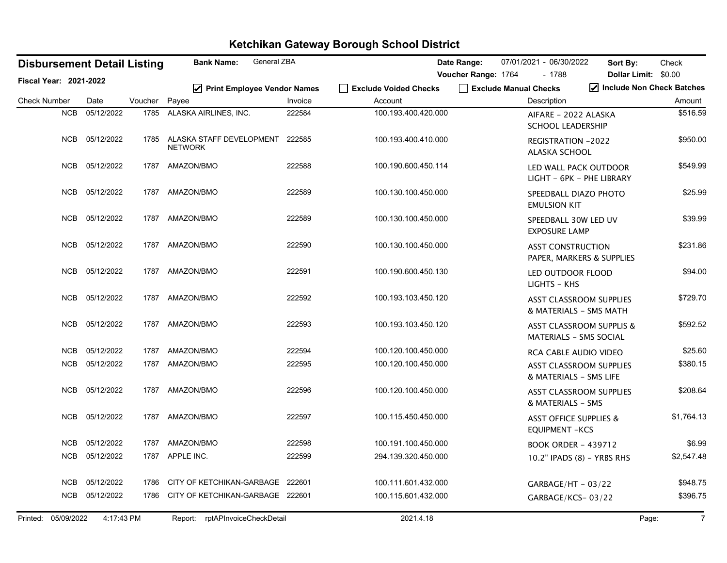| <b>Disbursement Detail Listing</b> |                          | General ZBA<br><b>Bank Name:</b> |                                                   |         | Date Range:                      | 07/01/2021 - 06/30/2022 | Sort By:                             | Check                                                                |                         |
|------------------------------------|--------------------------|----------------------------------|---------------------------------------------------|---------|----------------------------------|-------------------------|--------------------------------------|----------------------------------------------------------------------|-------------------------|
| <b>Fiscal Year: 2021-2022</b>      |                          |                                  |                                                   |         |                                  | Voucher Range: 1764     | $-1788$                              | Dollar Limit: \$0.00                                                 |                         |
| <b>Check Number</b>                | Date                     | Voucher                          | ☑ Print Employee Vendor Names<br>Payee            | Invoice | Fxclude Voided Checks<br>Account |                         | Exclude Manual Checks<br>Description | Include Non Check Batches                                            | Amount                  |
|                                    | NCB<br>05/12/2022        |                                  | 1785 ALASKA AIRLINES, INC.                        | 222584  | 100.193.400.420.000              |                         |                                      | AIFARE - 2022 ALASKA<br><b>SCHOOL LEADERSHIP</b>                     | \$516.59                |
|                                    | 05/12/2022<br>NCB        | 1785                             | ALASKA STAFF DEVELOPMENT 222585<br><b>NETWORK</b> |         | 100.193.400.410.000              |                         | ALASKA SCHOOL                        | <b>REGISTRATION -2022</b>                                            | \$950.00                |
|                                    | NCB<br>05/12/2022        | 1787                             | AMAZON/BMO                                        | 222588  | 100.190.600.450.114              |                         |                                      | LED WALL PACK OUTDOOR<br>LIGHT - 6PK - PHE LIBRARY                   | \$549.99                |
|                                    | <b>NCB</b><br>05/12/2022 | 1787                             | AMAZON/BMO                                        | 222589  | 100.130.100.450.000              |                         | <b>EMULSION KIT</b>                  | SPEEDBALL DIAZO PHOTO                                                | \$25.99                 |
|                                    | <b>NCB</b><br>05/12/2022 | 1787                             | AMAZON/BMO                                        | 222589  | 100.130.100.450.000              |                         | <b>EXPOSURE LAMP</b>                 | SPEEDBALL 30W LED UV                                                 | \$39.99                 |
|                                    | <b>NCB</b><br>05/12/2022 | 1787                             | AMAZON/BMO                                        | 222590  | 100.130.100.450.000              |                         |                                      | <b>ASST CONSTRUCTION</b><br>PAPER, MARKERS & SUPPLIES                | \$231.86                |
|                                    | 05/12/2022<br>NCB        | 1787                             | AMAZON/BMO                                        | 222591  | 100.190.600.450.130              |                         | LIGHTS - KHS                         | LED OUTDOOR FLOOD                                                    | \$94.00                 |
|                                    | 05/12/2022<br>NCB        | 1787                             | AMAZON/BMO                                        | 222592  | 100.193.103.450.120              |                         |                                      | <b>ASST CLASSROOM SUPPLIES</b><br>& MATERIALS - SMS MATH             | \$729.70                |
|                                    | <b>NCB</b><br>05/12/2022 | 1787                             | AMAZON/BMO                                        | 222593  | 100.193.103.450.120              |                         |                                      | <b>ASST CLASSROOM SUPPLIS &amp;</b><br><b>MATERIALS - SMS SOCIAL</b> | \$592.52                |
|                                    | 05/12/2022<br><b>NCB</b> | 1787                             | AMAZON/BMO                                        | 222594  | 100.120.100.450.000              |                         |                                      | <b>RCA CABLE AUDIO VIDEO</b>                                         | \$25.60                 |
|                                    | NCB<br>05/12/2022        | 1787                             | AMAZON/BMO                                        | 222595  | 100.120.100.450.000              |                         |                                      | <b>ASST CLASSROOM SUPPLIES</b><br>& MATERIALS - SMS LIFE             | \$380.15                |
|                                    | <b>NCB</b><br>05/12/2022 | 1787                             | AMAZON/BMO                                        | 222596  | 100.120.100.450.000              |                         |                                      | <b>ASST CLASSROOM SUPPLIES</b><br>& MATERIALS - SMS                  | \$208.64                |
|                                    | 05/12/2022<br><b>NCB</b> | 1787                             | AMAZON/BMO                                        | 222597  | 100.115.450.450.000              |                         | <b>EQUIPMENT -KCS</b>                | <b>ASST OFFICE SUPPLIES &amp;</b>                                    | \$1,764.13              |
|                                    | <b>NCB</b><br>05/12/2022 | 1787                             | AMAZON/BMO                                        | 222598  | 100.191.100.450.000              |                         |                                      | <b>BOOK ORDER - 439712</b>                                           | \$6.99                  |
|                                    | <b>NCB</b><br>05/12/2022 |                                  | 1787 APPLE INC.                                   | 222599  | 294.139.320.450.000              |                         |                                      | 10.2" IPADS (8) - YRBS RHS                                           | \$2,547.48              |
|                                    | <b>NCB</b><br>05/12/2022 | 1786                             | CITY OF KETCHIKAN-GARBAGE 222601                  |         | 100.111.601.432.000              |                         |                                      | $GARBAGE/HT - 03/22$                                                 | \$948.75                |
|                                    | <b>NCB</b><br>05/12/2022 | 1786                             | CITY OF KETCHIKAN-GARBAGE 222601                  |         | 100.115.601.432.000              |                         |                                      | GARBAGE/KCS-03/22                                                    | \$396.75                |
| Printed: 05/09/2022                |                          | 4:17:43 PM                       | rptAPInvoiceCheckDetail<br>Report:                |         | 2021.4.18                        |                         |                                      |                                                                      | $\overline{7}$<br>Page: |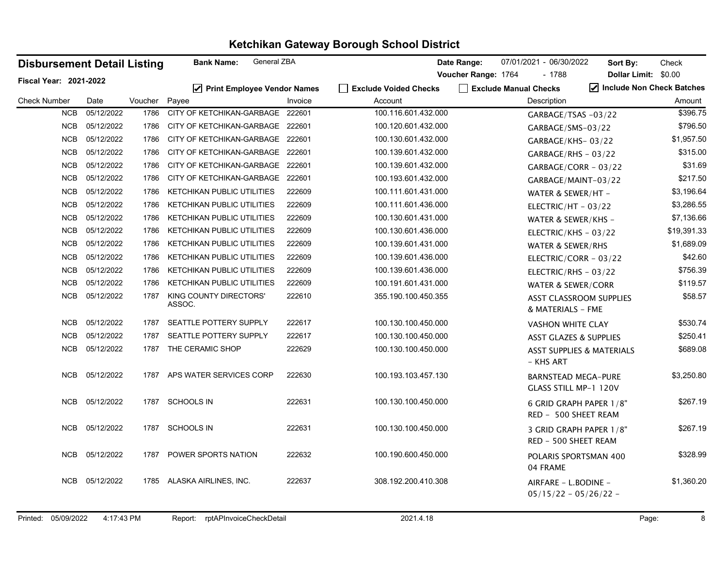| <b>Disbursement Detail Listing</b> |            |         | General ZBA<br><b>Bank Name:</b>  |         |                       | Date Range:         | 07/01/2021 - 06/30/2022                             | Sort By:                  | Check       |
|------------------------------------|------------|---------|-----------------------------------|---------|-----------------------|---------------------|-----------------------------------------------------|---------------------------|-------------|
| Fiscal Year: 2021-2022             |            |         |                                   |         |                       | Voucher Range: 1764 | $-1788$                                             | Dollar Limit: \$0.00      |             |
|                                    |            |         | ☑ Print Employee Vendor Names     |         | Exclude Voided Checks |                     | Exclude Manual Checks                               | Include Non Check Batches |             |
| <b>Check Number</b>                | Date       | Voucher | Payee                             | Invoice | Account               |                     | Description                                         |                           | Amount      |
| <b>NCB</b>                         | 05/12/2022 | 1786    | CITY OF KETCHIKAN-GARBAGE 222601  |         | 100.116.601.432.000   |                     | GARBAGE/TSAS -03/22                                 |                           | \$396.75    |
| NCB                                | 05/12/2022 | 1786    | CITY OF KETCHIKAN-GARBAGE 222601  |         | 100.120.601.432.000   |                     | GARBAGE/SMS-03/22                                   |                           | \$796.50    |
| <b>NCB</b>                         | 05/12/2022 | 1786    | CITY OF KETCHIKAN-GARBAGE 222601  |         | 100.130.601.432.000   |                     | GARBAGE/KHS-03/22                                   |                           | \$1,957.50  |
| <b>NCB</b>                         | 05/12/2022 | 1786    | CITY OF KETCHIKAN-GARBAGE 222601  |         | 100.139.601.432.000   |                     | $GARBAGE/RHS - 03/22$                               |                           | \$315.00    |
| <b>NCB</b>                         | 05/12/2022 | 1786    | CITY OF KETCHIKAN-GARBAGE 222601  |         | 100.139.601.432.000   |                     | $GARBAGE/CORR - 03/22$                              |                           | \$31.69     |
| <b>NCB</b>                         | 05/12/2022 | 1786    | CITY OF KETCHIKAN-GARBAGE 222601  |         | 100.193.601.432.000   |                     | GARBAGE/MAINT-03/22                                 |                           | \$217.50    |
| <b>NCB</b>                         | 05/12/2022 | 1786    | <b>KETCHIKAN PUBLIC UTILITIES</b> | 222609  | 100.111.601.431.000   |                     | WATER & SEWER/HT -                                  |                           | \$3,196.64  |
| <b>NCB</b>                         | 05/12/2022 | 1786    | <b>KETCHIKAN PUBLIC UTILITIES</b> | 222609  | 100.111.601.436.000   |                     | ELECTRIC/HT - 03/22                                 |                           | \$3,286.55  |
| <b>NCB</b>                         | 05/12/2022 | 1786    | KETCHIKAN PUBLIC UTILITIES        | 222609  | 100.130.601.431.000   |                     | WATER & SEWER/KHS -                                 |                           | \$7,136.66  |
| <b>NCB</b>                         | 05/12/2022 | 1786    | KETCHIKAN PUBLIC UTILITIES        | 222609  | 100.130.601.436.000   |                     | ELECTRIC/KHS - 03/22                                |                           | \$19,391.33 |
| <b>NCB</b>                         | 05/12/2022 | 1786    | KETCHIKAN PUBLIC UTILITIES        | 222609  | 100.139.601.431.000   |                     | WATER & SEWER/RHS                                   |                           | \$1,689.09  |
| <b>NCB</b>                         | 05/12/2022 | 1786    | KETCHIKAN PUBLIC UTILITIES        | 222609  | 100.139.601.436.000   |                     | ELECTRIC/CORR - 03/22                               |                           | \$42.60     |
| <b>NCB</b>                         | 05/12/2022 | 1786    | KETCHIKAN PUBLIC UTILITIES        | 222609  | 100.139.601.436.000   |                     | ELECTRIC/RHS - $03/22$                              |                           | \$756.39    |
| <b>NCB</b>                         | 05/12/2022 | 1786    | KETCHIKAN PUBLIC UTILITIES        | 222609  | 100.191.601.431.000   |                     | <b>WATER &amp; SEWER/CORR</b>                       |                           | \$119.57    |
| <b>NCB</b>                         | 05/12/2022 | 1787    | KING COUNTY DIRECTORS'<br>ASSOC.  | 222610  | 355.190.100.450.355   |                     | <b>ASST CLASSROOM SUPPLIES</b><br>& MATERIALS - FME |                           | \$58.57     |
| <b>NCB</b>                         | 05/12/2022 | 1787    | SEATTLE POTTERY SUPPLY            | 222617  | 100.130.100.450.000   |                     | <b>VASHON WHITE CLAY</b>                            |                           | \$530.74    |
| <b>NCB</b>                         | 05/12/2022 | 1787    | SEATTLE POTTERY SUPPLY            | 222617  | 100.130.100.450.000   |                     | <b>ASST GLAZES &amp; SUPPLIES</b>                   |                           | \$250.41    |
| <b>NCB</b>                         | 05/12/2022 | 1787    | THE CERAMIC SHOP                  | 222629  | 100.130.100.450.000   |                     | <b>ASST SUPPLIES &amp; MATERIALS</b><br>– KHS ART   |                           | \$689.08    |
| <b>NCB</b>                         | 05/12/2022 | 1787    | APS WATER SERVICES CORP           | 222630  | 100.193.103.457.130   |                     | <b>BARNSTEAD MEGA-PURE</b><br>GLASS STILL MP-1 120V |                           | \$3,250.80  |
| <b>NCB</b>                         | 05/12/2022 | 1787    | <b>SCHOOLS IN</b>                 | 222631  | 100.130.100.450.000   |                     | 6 GRID GRAPH PAPER 1/8"<br>RED - 500 SHEET REAM     |                           | \$267.19    |
| <b>NCB</b>                         | 05/12/2022 | 1787    | <b>SCHOOLS IN</b>                 | 222631  | 100.130.100.450.000   |                     | 3 GRID GRAPH PAPER 1/8"<br>RED - 500 SHEET REAM     |                           | \$267.19    |
| NCB                                | 05/12/2022 | 1787    | POWER SPORTS NATION               | 222632  | 100.190.600.450.000   |                     | POLARIS SPORTSMAN 400<br>04 FRAME                   |                           | \$328.99    |
| NCB                                | 05/12/2022 |         | 1785 ALASKA AIRLINES, INC.        | 222637  | 308.192.200.410.308   |                     | AIRFARE - L.BODINE -<br>$05/15/22 - 05/26/22 -$     |                           | \$1,360.20  |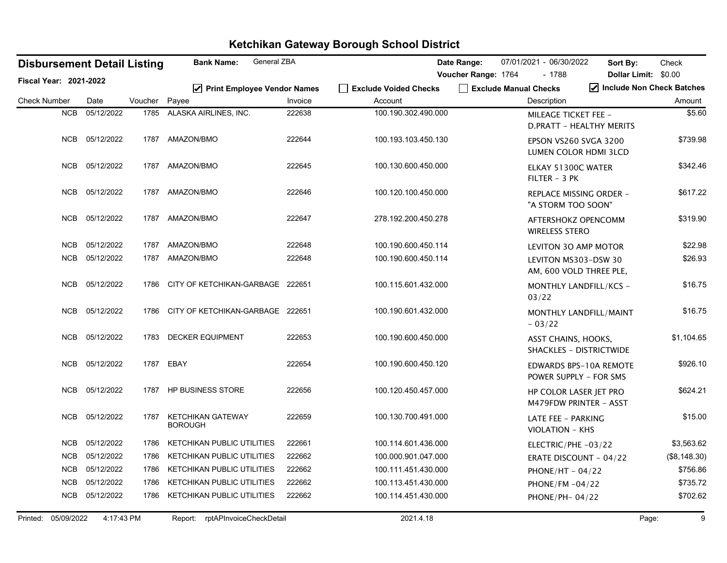|                     |                               | <b>Disbursement Detail Listing</b> |         | General ZBA<br><b>Bank Name:</b>           |         |                                  | Date Range:         | 07/01/2021 - 06/30/2022                         | Sort By:                       | Check        |
|---------------------|-------------------------------|------------------------------------|---------|--------------------------------------------|---------|----------------------------------|---------------------|-------------------------------------------------|--------------------------------|--------------|
|                     | <b>Fiscal Year: 2021-2022</b> |                                    |         |                                            |         |                                  | Voucher Range: 1764 | $-1788$                                         | Dollar Limit: \$0.00           |              |
| <b>Check Number</b> |                               | Date                               | Voucher | ☑ Print Employee Vendor Names<br>Payee     | Invoice | Exclude Voided Checks<br>Account |                     | Exclude Manual Checks<br>Description            | Include Non Check Batches      | Amount       |
|                     | <b>NCB</b>                    | 05/12/2022                         | 1785    | ALASKA AIRLINES, INC.                      | 222638  | 100.190.302.490.000              |                     | <b>MILEAGE TICKET FEE -</b>                     | D.PRATT - HEALTHY MERITS       | \$5.60       |
|                     | <b>NCB</b>                    | 05/12/2022                         |         | 1787 AMAZON/BMO                            | 222644  | 100.193.103.450.130              |                     | EPSON VS260 SVGA 3200                           | LUMEN COLOR HDMI 3LCD          | \$739.98     |
|                     | <b>NCB</b>                    | 05/12/2022                         | 1787    | AMAZON/BMO                                 | 222645  | 100.130.600.450.000              |                     | ELKAY 51300C WATER<br>FILTER - 3 PK             |                                | \$342.46     |
|                     | <b>NCB</b>                    | 05/12/2022                         | 1787    | AMAZON/BMO                                 | 222646  | 100.120.100.450.000              |                     | "A STORM TOO SOON"                              | REPLACE MISSING ORDER -        | \$617.22     |
|                     | <b>NCB</b>                    | 05/12/2022                         | 1787    | AMAZON/BMO                                 | 222647  | 278.192.200.450.278              |                     | AFTERSHOKZ OPENCOMM<br><b>WIRELESS STERO</b>    |                                | \$319.90     |
|                     | <b>NCB</b>                    | 05/12/2022                         | 1787    | AMAZON/BMO                                 | 222648  | 100.190.600.450.114              |                     | <b>LEVITON 30 AMP MOTOR</b>                     |                                | \$22.98      |
|                     | <b>NCB</b>                    | 05/12/2022                         | 1787    | AMAZON/BMO                                 | 222648  | 100.190.600.450.114              |                     | LEVITON MS303-DSW 30<br>AM, 600 VOLD THREE PLE, |                                | \$26.93      |
|                     | <b>NCB</b>                    | 05/12/2022                         | 1786    | CITY OF KETCHIKAN-GARBAGE                  | 222651  | 100.115.601.432.000              |                     | 03/22                                           | MONTHLY LANDFILL/KCS -         | \$16.75      |
|                     | <b>NCB</b>                    | 05/12/2022                         | 1786    | CITY OF KETCHIKAN-GARBAGE 222651           |         | 100.190.601.432.000              |                     | $-03/22$                                        | MONTHLY LANDFILL/MAINT         | \$16.75      |
|                     | <b>NCB</b>                    | 05/12/2022                         | 1783    | <b>DECKER EQUIPMENT</b>                    | 222653  | 100.190.600.450.000              |                     | ASST CHAINS, HOOKS,                             | <b>SHACKLES - DISTRICTWIDE</b> | \$1,104.65   |
|                     | NCB                           | 05/12/2022                         |         | 1787 EBAY                                  | 222654  | 100.190.600.450.120              |                     | POWER SUPPLY - FOR SMS                          | <b>EDWARDS BPS-10A REMOTE</b>  | \$926.10     |
|                     | <b>NCB</b>                    | 05/12/2022                         | 1787    | <b>HP BUSINESS STORE</b>                   | 222656  | 100.120.450.457.000              |                     | HP COLOR LASER JET PRO                          | M479FDW PRINTER - ASST         | \$624.21     |
|                     | <b>NCB</b>                    | 05/12/2022                         | 1787    | <b>KETCHIKAN GATEWAY</b><br><b>BOROUGH</b> | 222659  | 100.130.700.491.000              |                     | LATE FEE - PARKING<br><b>VIOLATION - KHS</b>    |                                | \$15.00      |
|                     | <b>NCB</b>                    | 05/12/2022                         | 1786    | KETCHIKAN PUBLIC UTILITIES                 | 222661  | 100.114.601.436.000              |                     | ELECTRIC/PHE-03/22                              |                                | \$3,563.62   |
|                     | <b>NCB</b>                    | 05/12/2022                         | 1786    | KETCHIKAN PUBLIC UTILITIES                 | 222662  | 100.000.901.047.000              |                     | ERATE DISCOUNT - 04/22                          |                                | (\$8,148.30) |
|                     | <b>NCB</b>                    | 05/12/2022                         | 1786    | <b>KETCHIKAN PUBLIC UTILITIES</b>          | 222662  | 100.111.451.430.000              |                     | PHONE/HT - $04/22$                              |                                | \$756.86     |
|                     | <b>NCB</b>                    | 05/12/2022                         | 1786    | KETCHIKAN PUBLIC UTILITIES                 | 222662  | 100.113.451.430.000              |                     | PHONE/FM -04/22                                 |                                | \$735.72     |
|                     | <b>NCB</b>                    | 05/12/2022                         | 1786    | <b>KETCHIKAN PUBLIC UTILITIES</b>          | 222662  | 100.114.451.430.000              |                     | PHONE/PH-04/22                                  |                                | \$702.62     |
|                     | Printed: 05/09/2022           | 4:17:43 PM                         |         | rptAPInvoiceCheckDetail<br>Report:         |         | 2021.4.18                        |                     |                                                 |                                | 9<br>Page:   |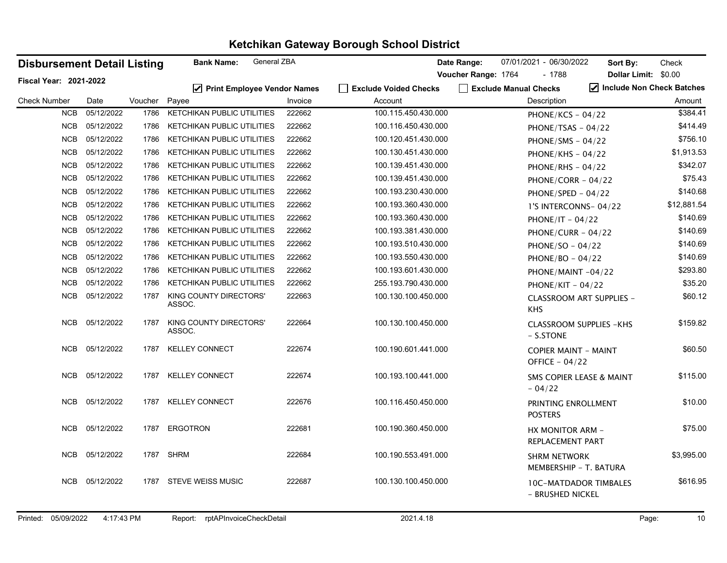| <b>Disbursement Detail Listing</b> |            |         | General ZBA<br><b>Bank Name:</b>            |         |                           | Date Range:         | 07/01/2021 - 06/30/2022                          | Sort By:                        | Check       |
|------------------------------------|------------|---------|---------------------------------------------|---------|---------------------------|---------------------|--------------------------------------------------|---------------------------------|-------------|
| Fiscal Year: 2021-2022             |            |         |                                             |         |                           | Voucher Range: 1764 | $-1788$                                          | Dollar Limit: \$0.00            |             |
|                                    |            |         | $\triangledown$ Print Employee Vendor Names |         | │ │ Exclude Voided Checks |                     | Exclude Manual Checks                            | Include Non Check Batches       |             |
| <b>Check Number</b>                | Date       | Voucher | Payee                                       | Invoice | Account                   |                     | Description                                      |                                 | Amount      |
| <b>NCB</b>                         | 05/12/2022 | 1786    | KETCHIKAN PUBLIC UTILITIES                  | 222662  | 100.115.450.430.000       |                     | PHONE/KCS - $04/22$                              |                                 | \$384.41    |
| NCB                                | 05/12/2022 | 1786    | <b>KETCHIKAN PUBLIC UTILITIES</b>           | 222662  | 100.116.450.430.000       |                     | PHONE/TSAS - $04/22$                             |                                 | \$414.49    |
| <b>NCB</b>                         | 05/12/2022 | 1786    | <b>KETCHIKAN PUBLIC UTILITIES</b>           | 222662  | 100.120.451.430.000       |                     | PHONE/SMS - $04/22$                              |                                 | \$756.10    |
| <b>NCB</b>                         | 05/12/2022 | 1786    | <b>KETCHIKAN PUBLIC UTILITIES</b>           | 222662  | 100.130.451.430.000       |                     | PHONE/KHS - $04/22$                              |                                 | \$1,913.53  |
| <b>NCB</b>                         | 05/12/2022 | 1786    | <b>KETCHIKAN PUBLIC UTILITIES</b>           | 222662  | 100.139.451.430.000       |                     | PHONE/RHS - $04/22$                              |                                 | \$342.07    |
| <b>NCB</b>                         | 05/12/2022 | 1786    | <b>KETCHIKAN PUBLIC UTILITIES</b>           | 222662  | 100.139.451.430.000       |                     | PHONE/CORR - 04/22                               |                                 | \$75.43     |
| <b>NCB</b>                         | 05/12/2022 | 1786    | <b>KETCHIKAN PUBLIC UTILITIES</b>           | 222662  | 100.193.230.430.000       |                     | PHONE/SPED - $04/22$                             |                                 | \$140.68    |
| <b>NCB</b>                         | 05/12/2022 | 1786    | <b>KETCHIKAN PUBLIC UTILITIES</b>           | 222662  | 100.193.360.430.000       |                     | 1'S INTERCONNS-04/22                             |                                 | \$12,881.54 |
| <b>NCB</b>                         | 05/12/2022 | 1786    | KETCHIKAN PUBLIC UTILITIES                  | 222662  | 100.193.360.430.000       |                     | PHONE/IT - $04/22$                               |                                 | \$140.69    |
| <b>NCB</b>                         | 05/12/2022 | 1786    | KETCHIKAN PUBLIC UTILITIES                  | 222662  | 100.193.381.430.000       |                     | PHONE/CURR $-04/22$                              |                                 | \$140.69    |
| <b>NCB</b>                         | 05/12/2022 | 1786    | KETCHIKAN PUBLIC UTILITIES                  | 222662  | 100.193.510.430.000       |                     | PHONE/SO - $04/22$                               |                                 | \$140.69    |
| <b>NCB</b>                         | 05/12/2022 | 1786    | <b>KETCHIKAN PUBLIC UTILITIES</b>           | 222662  | 100.193.550.430.000       |                     | PHONE/BO - 04/22                                 |                                 | \$140.69    |
| <b>NCB</b>                         | 05/12/2022 | 1786    | <b>KETCHIKAN PUBLIC UTILITIES</b>           | 222662  | 100.193.601.430.000       |                     | PHONE/MAINT-04/22                                |                                 | \$293.80    |
| <b>NCB</b>                         | 05/12/2022 | 1786    | <b>KETCHIKAN PUBLIC UTILITIES</b>           | 222662  | 255.193.790.430.000       |                     | PHONE/KIT - $04/22$                              |                                 | \$35.20     |
| <b>NCB</b>                         | 05/12/2022 | 1787    | KING COUNTY DIRECTORS'                      | 222663  | 100.130.100.450.000       |                     |                                                  | <b>CLASSROOM ART SUPPLIES -</b> | \$60.12     |
|                                    |            |         | ASSOC.                                      |         |                           |                     | <b>KHS</b>                                       |                                 |             |
| <b>NCB</b>                         | 05/12/2022 | 1787    | KING COUNTY DIRECTORS'<br>ASSOC.            | 222664  | 100.130.100.450.000       |                     | <b>CLASSROOM SUPPLIES -KHS</b>                   |                                 | \$159.82    |
|                                    |            |         |                                             |         |                           |                     | $-$ S.STONE                                      |                                 |             |
| <b>NCB</b>                         | 05/12/2022 | 1787    | <b>KELLEY CONNECT</b>                       | 222674  | 100.190.601.441.000       |                     | <b>COPIER MAINT - MAINT</b>                      |                                 | \$60.50     |
|                                    |            |         |                                             |         |                           |                     | OFFICE - $04/22$                                 |                                 |             |
| NCB                                | 05/12/2022 | 1787    | <b>KELLEY CONNECT</b>                       | 222674  | 100.193.100.441.000       |                     | <b>SMS COPIER LEASE &amp; MAINT</b><br>$-04/22$  |                                 | \$115.00    |
| NCB                                | 05/12/2022 | 1787    | <b>KELLEY CONNECT</b>                       | 222676  | 100.116.450.450.000       |                     | PRINTING ENROLLMENT                              |                                 | \$10.00     |
|                                    |            |         |                                             |         |                           |                     | <b>POSTERS</b>                                   |                                 |             |
| <b>NCB</b>                         | 05/12/2022 | 1787    | <b>ERGOTRON</b>                             | 222681  | 100.190.360.450.000       |                     | HX MONITOR ARM -                                 |                                 | \$75.00     |
|                                    |            |         |                                             |         |                           |                     | REPLACEMENT PART                                 |                                 |             |
| <b>NCB</b>                         | 05/12/2022 | 1787    | <b>SHRM</b>                                 | 222684  | 100.190.553.491.000       |                     | <b>SHRM NETWORK</b>                              |                                 | \$3,995.00  |
|                                    |            |         |                                             |         |                           |                     | MEMBERSHIP - T. BATURA                           |                                 |             |
| NCB                                | 05/12/2022 | 1787    | <b>STEVE WEISS MUSIC</b>                    | 222687  | 100.130.100.450.000       |                     | <b>10C-MATDADOR TIMBALES</b><br>- BRUSHED NICKEL |                                 | \$616.95    |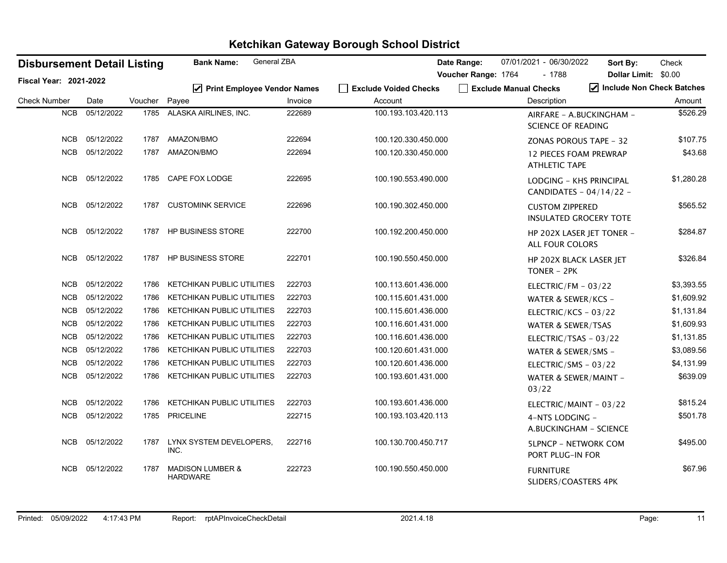| <b>Disbursement Detail Listing</b> |            |         | General ZBA<br><b>Bank Name:</b>               |         |                                  | Date Range:           | 07/01/2021 - 06/30/2022                                 | Sort By:                  | Check      |
|------------------------------------|------------|---------|------------------------------------------------|---------|----------------------------------|-----------------------|---------------------------------------------------------|---------------------------|------------|
| Fiscal Year: 2021-2022             |            |         |                                                |         |                                  | Voucher Range: 1764   | $-1788$                                                 | Dollar Limit: \$0.00      |            |
| <b>Check Number</b>                | Date       | Voucher | ☑ Print Employee Vendor Names<br>Payee         | Invoice | Exclude Voided Checks<br>Account | Exclude Manual Checks | <b>Description</b>                                      | Include Non Check Batches | Amount     |
| <b>NCB</b>                         | 05/12/2022 | 1785    | ALASKA AIRLINES, INC.                          | 222689  | 100.193.103.420.113              |                       |                                                         |                           | \$526.29   |
|                                    |            |         |                                                |         |                                  |                       | AIRFARE - A.BUCKINGHAM -<br>SCIENCE OF READING          |                           |            |
| <b>NCB</b>                         | 05/12/2022 | 1787    | AMAZON/BMO                                     | 222694  | 100.120.330.450.000              |                       | <b>ZONAS POROUS TAPE - 32</b>                           |                           | \$107.75   |
| <b>NCB</b>                         | 05/12/2022 | 1787    | AMAZON/BMO                                     | 222694  | 100.120.330.450.000              |                       | <b>12 PIECES FOAM PREWRAP</b><br><b>ATHLETIC TAPE</b>   |                           | \$43.68    |
| <b>NCB</b>                         | 05/12/2022 | 1785    | CAPE FOX LODGE                                 | 222695  | 100.190.553.490.000              |                       | LODGING - KHS PRINCIPAL<br>CANDIDATES - 04/14/22 -      |                           | \$1,280.28 |
| <b>NCB</b>                         | 05/12/2022 | 1787    | <b>CUSTOMINK SERVICE</b>                       | 222696  | 100.190.302.450.000              |                       | <b>CUSTOM ZIPPERED</b><br><b>INSULATED GROCERY TOTE</b> |                           | \$565.52   |
| NCB                                | 05/12/2022 |         | 1787 HP BUSINESS STORE                         | 222700  | 100.192.200.450.000              |                       | HP 202X LASER JET TONER -<br><b>ALL FOUR COLORS</b>     |                           | \$284.87   |
| <b>NCB</b>                         | 05/12/2022 | 1787    | <b>HP BUSINESS STORE</b>                       | 222701  | 100.190.550.450.000              |                       | HP 202X BLACK LASER JET<br>TONER - 2PK                  |                           | \$326.84   |
| NCB                                | 05/12/2022 | 1786    | KETCHIKAN PUBLIC UTILITIES                     | 222703  | 100.113.601.436.000              |                       | ELECTRIC/FM - 03/22                                     |                           | \$3,393.55 |
| <b>NCB</b>                         | 05/12/2022 | 1786    | KETCHIKAN PUBLIC UTILITIES                     | 222703  | 100.115.601.431.000              |                       | WATER & SEWER/KCS -                                     |                           | \$1,609.92 |
| <b>NCB</b>                         | 05/12/2022 | 1786    | KETCHIKAN PUBLIC UTILITIES                     | 222703  | 100.115.601.436.000              |                       | ELECTRIC/KCS - 03/22                                    |                           | \$1,131.84 |
| NCB                                | 05/12/2022 | 1786    | KETCHIKAN PUBLIC UTILITIES                     | 222703  | 100.116.601.431.000              |                       | WATER & SEWER/TSAS                                      |                           | \$1,609.93 |
| <b>NCB</b>                         | 05/12/2022 | 1786    | <b>KETCHIKAN PUBLIC UTILITIES</b>              | 222703  | 100.116.601.436.000              |                       | ELECTRIC/TSAS - 03/22                                   |                           | \$1,131.85 |
| <b>NCB</b>                         | 05/12/2022 | 1786    | <b>KETCHIKAN PUBLIC UTILITIES</b>              | 222703  | 100.120.601.431.000              |                       | WATER & SEWER/SMS -                                     |                           | \$3,089.56 |
| <b>NCB</b>                         | 05/12/2022 | 1786    | <b>KETCHIKAN PUBLIC UTILITIES</b>              | 222703  | 100.120.601.436.000              |                       | ELECTRIC/SMS - 03/22                                    |                           | \$4,131.99 |
| <b>NCB</b>                         | 05/12/2022 | 1786    | <b>KETCHIKAN PUBLIC UTILITIES</b>              | 222703  | 100.193.601.431.000              |                       | WATER & SEWER/MAINT -<br>03/22                          |                           | \$639.09   |
| <b>NCB</b>                         | 05/12/2022 | 1786    | KETCHIKAN PUBLIC UTILITIES                     | 222703  | 100.193.601.436.000              |                       | ELECTRIC/MAINT - 03/22                                  |                           | \$815.24   |
| <b>NCB</b>                         | 05/12/2022 | 1785    | <b>PRICELINE</b>                               | 222715  | 100.193.103.420.113              |                       | 4-NTS LODGING -<br>A.BUCKINGHAM - SCIENCE               |                           | \$501.78   |
| <b>NCB</b>                         | 05/12/2022 | 1787    | LYNX SYSTEM DEVELOPERS,<br>INC.                | 222716  | 100.130.700.450.717              |                       | <b>5LPNCP - NETWORK COM</b><br>PORT PLUG-IN FOR         |                           | \$495.00   |
| <b>NCB</b>                         | 05/12/2022 | 1787    | <b>MADISON LUMBER &amp;</b><br><b>HARDWARE</b> | 222723  | 100.190.550.450.000              |                       | <b>FURNITURE</b><br>SLIDERS/COASTERS 4PK                |                           | \$67.96    |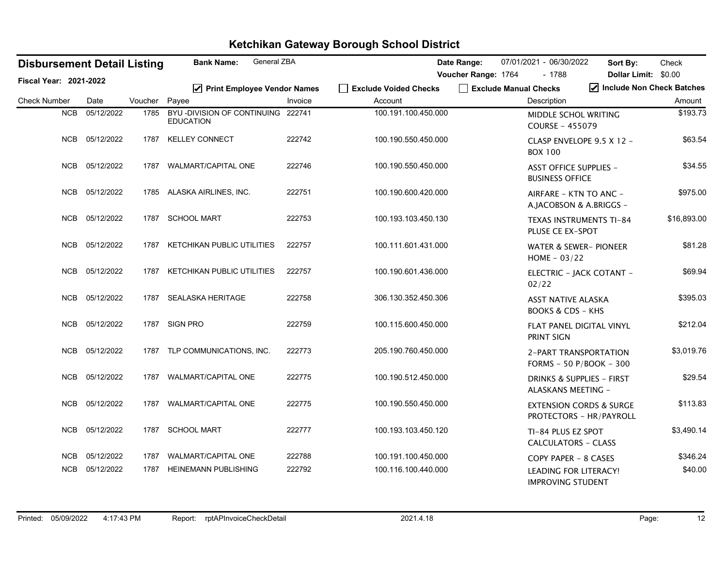| <b>Disbursement Detail Listing</b> |                |         | <b>General ZBA</b><br><b>Bank Name:</b>               |         |                                  | Date Range:         | 07/01/2021 - 06/30/2022                                       | Sort By:                                          | Check       |
|------------------------------------|----------------|---------|-------------------------------------------------------|---------|----------------------------------|---------------------|---------------------------------------------------------------|---------------------------------------------------|-------------|
| Fiscal Year: 2021-2022             |                |         |                                                       |         |                                  | Voucher Range: 1764 | $-1788$<br>Exclude Manual Checks                              | <b>Dollar Limit:</b><br>Include Non Check Batches | \$0.00      |
| <b>Check Number</b>                | Date           | Voucher | $\triangledown$ Print Employee Vendor Names<br>Payee  | Invoice | Exclude Voided Checks<br>Account |                     | Description                                                   |                                                   | Amount      |
| NCB                                | 05/12/2022     | 1785    | BYU-DIVISION OF CONTINUING 222741<br><b>EDUCATION</b> |         | 100.191.100.450.000              |                     | MIDDLE SCHOL WRITING<br><b>COURSE - 455079</b>                |                                                   | \$193.73    |
|                                    | NCB 05/12/2022 | 1787    | <b>KELLEY CONNECT</b>                                 | 222742  | 100.190.550.450.000              |                     | CLASP ENVELOPE 9.5 X 12 -<br><b>BOX 100</b>                   |                                                   | \$63.54     |
| <b>NCB</b>                         | 05/12/2022     | 1787    | <b>WALMART/CAPITAL ONE</b>                            | 222746  | 100.190.550.450.000              |                     | <b>ASST OFFICE SUPPLIES -</b><br><b>BUSINESS OFFICE</b>       |                                                   | \$34.55     |
| <b>NCB</b>                         | 05/12/2022     | 1785    | ALASKA AIRLINES, INC.                                 | 222751  | 100.190.600.420.000              |                     | AIRFARE - KTN TO ANC -<br>A.JACOBSON & A.BRIGGS -             |                                                   | \$975.00    |
| <b>NCB</b>                         | 05/12/2022     | 1787    | <b>SCHOOL MART</b>                                    | 222753  | 100.193.103.450.130              |                     | TEXAS INSTRUMENTS TI-84<br>PLUSE CE EX-SPOT                   |                                                   | \$16,893.00 |
| <b>NCB</b>                         | 05/12/2022     | 1787    | <b>KETCHIKAN PUBLIC UTILITIES</b>                     | 222757  | 100.111.601.431.000              |                     | <b>WATER &amp; SEWER- PIONEER</b><br>HOME $-03/22$            |                                                   | \$81.28     |
|                                    | NCB 05/12/2022 | 1787    | KETCHIKAN PUBLIC UTILITIES                            | 222757  | 100.190.601.436.000              |                     | ELECTRIC - JACK COTANT -<br>02/22                             |                                                   | \$69.94     |
| <b>NCB</b>                         | 05/12/2022     | 1787    | SEALASKA HERITAGE                                     | 222758  | 306.130.352.450.306              |                     | <b>ASST NATIVE ALASKA</b><br><b>BOOKS &amp; CDS - KHS</b>     |                                                   | \$395.03    |
| <b>NCB</b>                         | 05/12/2022     | 1787    | <b>SIGN PRO</b>                                       | 222759  | 100.115.600.450.000              |                     | FLAT PANEL DIGITAL VINYL<br>PRINT SIGN                        |                                                   | \$212.04    |
| <b>NCB</b>                         | 05/12/2022     |         | 1787 TLP COMMUNICATIONS, INC.                         | 222773  | 205.190.760.450.000              |                     | 2-PART TRANSPORTATION<br>FORMS - 50 P/BOOK - 300              |                                                   | \$3,019.76  |
| <b>NCB</b>                         | 05/12/2022     | 1787    | <b>WALMART/CAPITAL ONE</b>                            | 222775  | 100.190.512.450.000              |                     | <b>DRINKS &amp; SUPPLIES - FIRST</b><br>ALASKANS MEETING -    |                                                   | \$29.54     |
| <b>NCB</b>                         | 05/12/2022     | 1787    | <b>WALMART/CAPITAL ONE</b>                            | 222775  | 100.190.550.450.000              |                     | <b>EXTENSION CORDS &amp; SURGE</b><br>PROTECTORS - HR/PAYROLL |                                                   | \$113.83    |
| <b>NCB</b>                         | 05/12/2022     | 1787    | <b>SCHOOL MART</b>                                    | 222777  | 100.193.103.450.120              |                     | TI-84 PLUS EZ SPOT<br><b>CALCULATORS - CLASS</b>              |                                                   | \$3,490.14  |
| <b>NCB</b>                         | 05/12/2022     | 1787    | <b>WALMART/CAPITAL ONE</b>                            | 222788  | 100.191.100.450.000              |                     | COPY PAPER - 8 CASES                                          |                                                   | \$346.24    |
| <b>NCB</b>                         | 05/12/2022     | 1787    | <b>HEINEMANN PUBLISHING</b>                           | 222792  | 100.116.100.440.000              |                     | <b>LEADING FOR LITERACY!</b><br><b>IMPROVING STUDENT</b>      |                                                   | \$40.00     |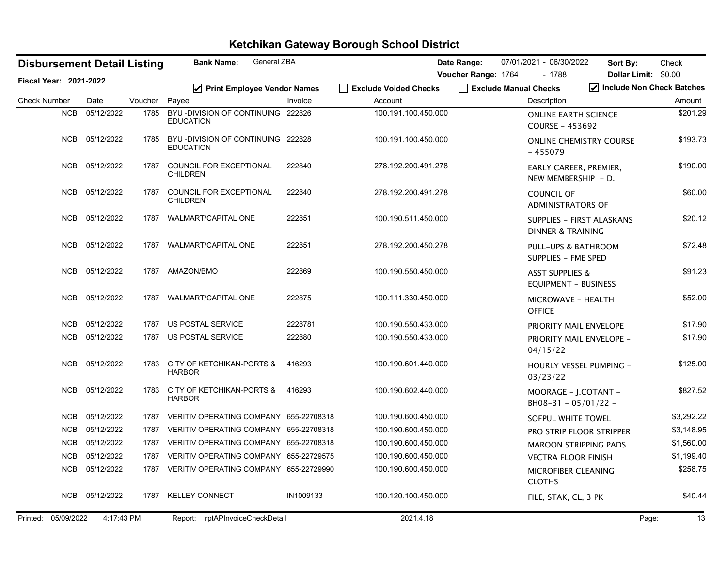|                     |                               | <b>Disbursement Detail Listing</b> |         | General ZBA<br><b>Bank Name:</b>                      |           |                              | Date Range:           | 07/01/2021 - 06/30/2022                                   | Sort By:                       | Check                     |
|---------------------|-------------------------------|------------------------------------|---------|-------------------------------------------------------|-----------|------------------------------|-----------------------|-----------------------------------------------------------|--------------------------------|---------------------------|
|                     | <b>Fiscal Year: 2021-2022</b> |                                    |         |                                                       |           |                              | Voucher Range: 1764   | $-1788$                                                   |                                | Dollar Limit: \$0.00      |
|                     |                               |                                    |         | ☑ Print Employee Vendor Names                         |           | <b>Exclude Voided Checks</b> | Exclude Manual Checks |                                                           |                                | Include Non Check Batches |
| <b>Check Number</b> |                               | Date                               | Voucher | Payee                                                 | Invoice   | Account                      |                       | Description                                               |                                | Amount                    |
|                     | <b>NCB</b>                    | 05/12/2022                         | 1785    | BYU-DIVISION OF CONTINUING 222826<br><b>EDUCATION</b> |           | 100.191.100.450.000          |                       | COURSE - 453692                                           | <b>ONLINE EARTH SCIENCE</b>    | \$201.29                  |
|                     | <b>NCB</b>                    | 05/12/2022                         | 1785    | BYU-DIVISION OF CONTINUING 222828<br><b>EDUCATION</b> |           | 100.191.100.450.000          |                       | $-455079$                                                 | <b>ONLINE CHEMISTRY COURSE</b> | \$193.73                  |
|                     | <b>NCB</b>                    | 05/12/2022                         | 1787    | COUNCIL FOR EXCEPTIONAL<br><b>CHILDREN</b>            | 222840    | 278.192.200.491.278          |                       | NEW MEMBERSHIP - D.                                       | EARLY CAREER, PREMIER,         | \$190.00                  |
|                     | <b>NCB</b>                    | 05/12/2022                         | 1787    | COUNCIL FOR EXCEPTIONAL<br><b>CHILDREN</b>            | 222840    | 278.192.200.491.278          |                       | COUNCIL OF<br><b>ADMINISTRATORS OF</b>                    |                                | \$60.00                   |
|                     | <b>NCB</b>                    | 05/12/2022                         | 1787    | <b>WALMART/CAPITAL ONE</b>                            | 222851    | 100.190.511.450.000          |                       | DINNER & TRAINING                                         | SUPPLIES - FIRST ALASKANS      | \$20.12                   |
|                     | <b>NCB</b>                    | 05/12/2022                         | 1787    | <b>WALMART/CAPITAL ONE</b>                            | 222851    | 278.192.200.450.278          |                       | SUPPLIES - FME SPED                                       | PULL-UPS & BATHROOM            | \$72.48                   |
|                     | <b>NCB</b>                    | 05/12/2022                         | 1787    | AMAZON/BMO                                            | 222869    | 100.190.550.450.000          |                       | <b>ASST SUPPLIES &amp;</b><br><b>EQUIPMENT - BUSINESS</b> |                                | \$91.23                   |
|                     | <b>NCB</b>                    | 05/12/2022                         | 1787    | WALMART/CAPITAL ONE                                   | 222875    | 100.111.330.450.000          |                       | <b>MICROWAVE - HEALTH</b><br><b>OFFICE</b>                |                                | \$52.00                   |
|                     | <b>NCB</b>                    | 05/12/2022                         | 1787    | US POSTAL SERVICE                                     | 2228781   | 100.190.550.433.000          |                       |                                                           | PRIORITY MAIL ENVELOPE         | \$17.90                   |
|                     | <b>NCB</b>                    | 05/12/2022                         | 1787    | US POSTAL SERVICE                                     | 222880    | 100.190.550.433.000          |                       | 04/15/22                                                  | PRIORITY MAIL ENVELOPE -       | \$17.90                   |
|                     | <b>NCB</b>                    | 05/12/2022                         | 1783    | <b>CITY OF KETCHIKAN-PORTS &amp;</b><br><b>HARBOR</b> | 416293    | 100.190.601.440.000          |                       | 03/23/22                                                  | HOURLY VESSEL PUMPING -        | \$125.00                  |
|                     | <b>NCB</b>                    | 05/12/2022                         | 1783    | CITY OF KETCHIKAN-PORTS &<br><b>HARBOR</b>            | 416293    | 100.190.602.440.000          |                       | $BH08-31 - 05/01/22 -$                                    | MOORAGE - J.COTANT -           | \$827.52                  |
|                     | <b>NCB</b>                    | 05/12/2022                         | 1787    | VERITIV OPERATING COMPANY 655-22708318                |           | 100.190.600.450.000          |                       | SOFPUL WHITE TOWEL                                        |                                | \$3,292.22                |
|                     | <b>NCB</b>                    | 05/12/2022                         | 1787    | VERITIV OPERATING COMPANY 655-22708318                |           | 100.190.600.450.000          |                       |                                                           | PRO STRIP FLOOR STRIPPER       | \$3,148.95                |
|                     | <b>NCB</b>                    | 05/12/2022                         | 1787    | VERITIV OPERATING COMPANY 655-22708318                |           | 100.190.600.450.000          |                       |                                                           | <b>MAROON STRIPPING PADS</b>   | \$1,560.00                |
|                     | NCB                           | 05/12/2022                         | 1787    | VERITIV OPERATING COMPANY 655-22729575                |           | 100.190.600.450.000          |                       | <b>VECTRA FLOOR FINISH</b>                                |                                | \$1,199.40                |
|                     | <b>NCB</b>                    | 05/12/2022                         | 1787    | VERITIV OPERATING COMPANY 655-22729990                |           | 100.190.600.450.000          |                       | MICROFIBER CLEANING<br><b>CLOTHS</b>                      |                                | \$258.75                  |
|                     | NCB                           | 05/12/2022                         | 1787    | <b>KELLEY CONNECT</b>                                 | IN1009133 | 100.120.100.450.000          |                       | FILE, STAK, CL, 3 PK                                      |                                | \$40.44                   |
|                     | Printed: 05/09/2022           | 4:17:43 PM                         |         | Report: rptAPInvoiceCheckDetail                       |           | 2021.4.18                    |                       |                                                           |                                | 13<br>Page:               |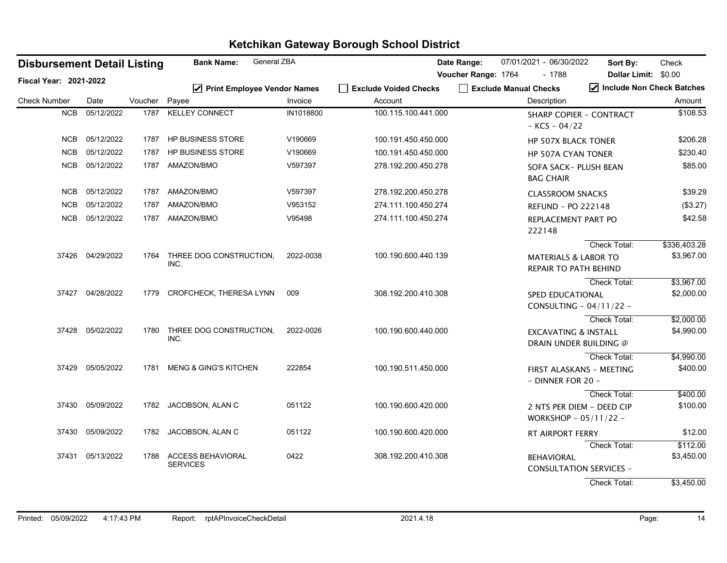| <b>Disbursement Detail Listing</b> |                  |               | <b>Bank Name:</b>                    | General ZBA |                       | Date Range:           | 07/01/2021 - 06/30/2022                                   | Sort By:                  | Check        |
|------------------------------------|------------------|---------------|--------------------------------------|-------------|-----------------------|-----------------------|-----------------------------------------------------------|---------------------------|--------------|
| <b>Fiscal Year: 2021-2022</b>      |                  |               |                                      |             |                       | Voucher Range: 1764   | $-1788$                                                   | Dollar Limit: \$0.00      |              |
|                                    |                  |               | ☑ Print Employee Vendor Names        |             | Exclude Voided Checks | Exclude Manual Checks |                                                           | Include Non Check Batches |              |
| <b>Check Number</b>                | Date             | Voucher Payee |                                      | Invoice     | Account               |                       | Description                                               |                           | Amount       |
| <b>NCB</b>                         | 05/12/2022       | 1787          | <b>KELLEY CONNECT</b>                | IN1018800   | 100.115.100.441.000   |                       | <b>SHARP COPIER - CONTRACT</b><br>$-KCS - 04/22$          |                           | \$108.53     |
| <b>NCB</b>                         | 05/12/2022       | 1787          | HP BUSINESS STORE                    | V190669     | 100.191.450.450.000   |                       | <b>HP 507X BLACK TONER</b>                                |                           | \$206.28     |
| <b>NCB</b>                         | 05/12/2022       | 1787          | <b>HP BUSINESS STORE</b>             | V190669     | 100.191.450.450.000   |                       | <b>HP 507A CYAN TONER</b>                                 |                           | \$230.40     |
| NCB                                | 05/12/2022       | 1787          | AMAZON/BMO                           | V597397     | 278.192.200.450.278   |                       | SOFA SACK- PLUSH BEAN<br><b>BAG CHAIR</b>                 |                           | \$85.00      |
| NCB                                | 05/12/2022       | 1787          | AMAZON/BMO                           | V597397     | 278.192.200.450.278   |                       | <b>CLASSROOM SNACKS</b>                                   |                           | \$39.29      |
| <b>NCB</b>                         | 05/12/2022       | 1787          | AMAZON/BMO                           | V953152     | 274.111.100.450.274   |                       | <b>REFUND - PO 222148</b>                                 |                           | (\$3.27)     |
| <b>NCB</b>                         | 05/12/2022       | 1787          | AMAZON/BMO                           | V95498      | 274.111.100.450.274   |                       | REPLACEMENT PART PO<br>222148                             |                           | \$42.58      |
|                                    |                  |               |                                      |             |                       |                       |                                                           | <b>Check Total:</b>       | \$336,403.28 |
|                                    | 37426 04/29/2022 | 1764          | THREE DOG CONSTRUCTION.<br>INC.      | 2022-0038   | 100.190.600.440.139   |                       | <b>MATERIALS &amp; LABOR TO</b><br>REPAIR TO PATH BEHIND  |                           | \$3,967.00   |
|                                    |                  |               |                                      |             |                       |                       |                                                           | Check Total:              | \$3,967.00   |
|                                    | 37427 04/28/2022 | 1779          | CROFCHECK, THERESA LYNN              | 009         | 308.192.200.410.308   |                       | SPED EDUCATIONAL<br>CONSULTING - 04/11/22 -               |                           | \$2,000.00   |
|                                    |                  |               |                                      |             |                       |                       |                                                           | Check Total:              | \$2,000.00   |
|                                    | 37428 05/02/2022 | 1780          | THREE DOG CONSTRUCTION,<br>INC.      | 2022-0026   | 100.190.600.440.000   |                       | <b>EXCAVATING &amp; INSTALL</b><br>DRAIN UNDER BUILDING @ |                           | \$4,990.00   |
|                                    |                  |               |                                      |             |                       |                       |                                                           | Check Total:              | \$4,990.00   |
| 37429                              | 05/05/2022       | 1781          | <b>MENG &amp; GING'S KITCHEN</b>     | 222854      | 100.190.511.450.000   |                       | FIRST ALASKANS - MEETING<br>- DINNER FOR 20 -             |                           | \$400.00     |
|                                    |                  |               |                                      |             |                       |                       |                                                           | Check Total:              | \$400.00     |
|                                    | 37430 05/09/2022 | 1782          | JACOBSON, ALAN C                     | 051122      | 100.190.600.420.000   |                       | 2 NTS PER DIEM - DEED CIP<br>WORKSHOP - 05/11/22 -        |                           | \$100.00     |
|                                    | 37430 05/09/2022 | 1782          | JACOBSON, ALAN C                     | 051122      | 100.190.600.420.000   |                       | RT AIRPORT FERRY                                          |                           | \$12.00      |
|                                    |                  |               |                                      |             |                       |                       |                                                           | Check Total:              | \$112.00     |
|                                    | 37431 05/13/2022 | 1788          | ACCESS BEHAVIORAL<br><b>SERVICES</b> | 0422        | 308.192.200.410.308   |                       | <b>BEHAVIORAL</b><br><b>CONSULTATION SERVICES -</b>       |                           | \$3,450.00   |
|                                    |                  |               |                                      |             |                       |                       |                                                           | Check Total:              | \$3,450.00   |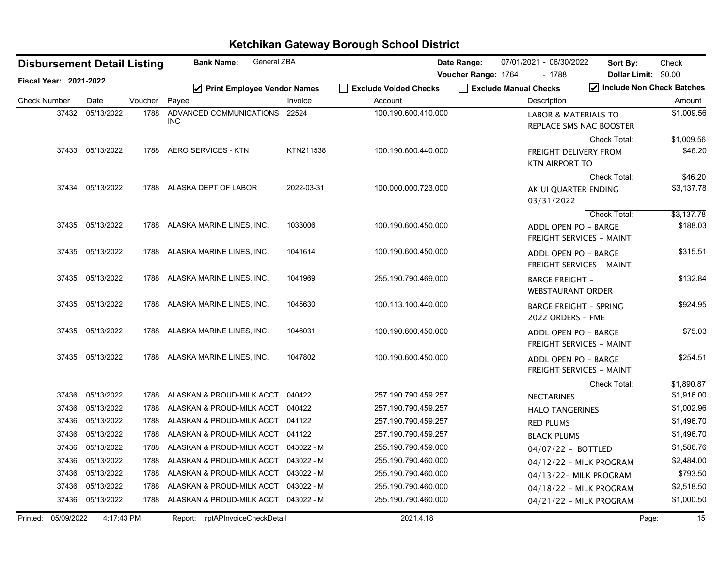|                     |                               | <b>Disbursement Detail Listing</b> |         | General ZBA<br><b>Bank Name:</b>            |            |                                  | Date Range:         | 07/01/2021 - 06/30/2022              |                                                            | Sort By:                  | Check                  |
|---------------------|-------------------------------|------------------------------------|---------|---------------------------------------------|------------|----------------------------------|---------------------|--------------------------------------|------------------------------------------------------------|---------------------------|------------------------|
|                     | <b>Fiscal Year: 2021-2022</b> |                                    |         |                                             |            |                                  | Voucher Range: 1764 |                                      | $-1788$                                                    | Dollar Limit: \$0.00      |                        |
| <b>Check Number</b> |                               | Date                               | Voucher | ☑ Print Employee Vendor Names<br>Payee      | Invoice    | Exclude Voided Checks<br>Account |                     | Exclude Manual Checks<br>Description |                                                            | Include Non Check Batches | Amount                 |
|                     | 37432                         | 05/13/2022                         | 1788    | ADVANCED COMMUNICATIONS 22524<br><b>INC</b> |            | 100.190.600.410.000              |                     |                                      | <b>LABOR &amp; MATERIALS TO</b><br>REPLACE SMS NAC BOOSTER |                           | \$1,009.56             |
|                     |                               | 37433 05/13/2022                   | 1788    | <b>AERO SERVICES - KTN</b>                  | KTN211538  | 100.190.600.440.000              |                     |                                      | <b>FREIGHT DELIVERY FROM</b><br><b>KTN AIRPORT TO</b>      | Check Total:              | \$1,009.56<br>\$46.20  |
|                     | 37434                         | 05/13/2022                         | 1788    | ALASKA DEPT OF LABOR                        | 2022-03-31 | 100.000.000.723.000              |                     |                                      |                                                            | Check Total:              | \$46.20<br>\$3,137.78  |
|                     |                               |                                    |         |                                             |            |                                  |                     |                                      | AK UI QUARTER ENDING<br>03/31/2022                         |                           |                        |
|                     |                               | 37435 05/13/2022                   | 1788    | ALASKA MARINE LINES, INC.                   | 1033006    | 100.190.600.450.000              |                     |                                      | <b>ADDL OPEN PO - BARGE</b><br>FREIGHT SERVICES - MAINT    | Check Total:              | \$3,137.78<br>\$188.03 |
|                     |                               | 37435 05/13/2022                   | 1788    | ALASKA MARINE LINES, INC.                   | 1041614    | 100.190.600.450.000              |                     |                                      | ADDL OPEN PO - BARGE<br>FREIGHT SERVICES - MAINT           |                           | \$315.51               |
|                     |                               | 37435 05/13/2022                   | 1788    | ALASKA MARINE LINES, INC.                   | 1041969    | 255.190.790.469.000              |                     |                                      | <b>BARGE FREIGHT -</b><br><b>WEBSTAURANT ORDER</b>         |                           | \$132.84               |
|                     | 37435                         | 05/13/2022                         | 1788    | ALASKA MARINE LINES, INC.                   | 1045630    | 100.113.100.440.000              |                     |                                      | <b>BARGE FREIGHT - SPRING</b><br>2022 ORDERS - FME         |                           | \$924.95               |
|                     |                               | 37435 05/13/2022                   | 1788    | ALASKA MARINE LINES, INC.                   | 1046031    | 100.190.600.450.000              |                     |                                      | ADDL OPEN PO - BARGE<br><b>FREIGHT SERVICES - MAINT</b>    |                           | \$75.03                |
|                     |                               | 37435 05/13/2022                   | 1788    | ALASKA MARINE LINES, INC.                   | 1047802    | 100.190.600.450.000              |                     |                                      | ADDL OPEN PO - BARGE<br><b>FREIGHT SERVICES - MAINT</b>    |                           | \$254.51               |
|                     |                               |                                    |         |                                             |            |                                  |                     |                                      |                                                            | Check Total:              | \$1,890.87             |
|                     | 37436                         | 05/13/2022                         | 1788    | ALASKAN & PROUD-MILK ACCT                   | 040422     | 257.190.790.459.257              |                     |                                      | <b>NECTARINES</b>                                          |                           | \$1,916.00             |
|                     | 37436                         | 05/13/2022                         | 1788    | ALASKAN & PROUD-MILK ACCT 040422            |            | 257.190.790.459.257              |                     |                                      | <b>HALO TANGERINES</b>                                     |                           | \$1,002.96             |
|                     | 37436                         | 05/13/2022                         | 1788    | ALASKAN & PROUD-MILK ACCT 041122            |            | 257.190.790.459.257              |                     | <b>RED PLUMS</b>                     |                                                            |                           | \$1,496.70             |
|                     | 37436                         | 05/13/2022                         | 1788    | ALASKAN & PROUD-MILK ACCT 041122            |            | 257.190.790.459.257              |                     |                                      | <b>BLACK PLUMS</b>                                         |                           | \$1,496.70             |
|                     | 37436                         | 05/13/2022                         | 1788    | ALASKAN & PROUD-MILK ACCT 043022 - M        |            | 255.190.790.459.000              |                     |                                      | $04/07/22 - BOTTLED$                                       |                           | \$1,586.76             |
|                     | 37436                         | 05/13/2022                         | 1788    | ALASKAN & PROUD-MILK ACCT                   | 043022 - M | 255.190.790.460.000              |                     |                                      | 04/12/22 - MILK PROGRAM                                    |                           | \$2,484.00             |
|                     | 37436                         | 05/13/2022                         | 1788    | ALASKAN & PROUD-MILK ACCT 043022 - M        |            | 255.190.790.460.000              |                     |                                      | 04/13/22-MILK PROGRAM                                      |                           | \$793.50               |
|                     | 37436                         | 05/13/2022                         | 1788    | ALASKAN & PROUD-MILK ACCT                   | 043022 - M | 255.190.790.460.000              |                     |                                      | 04/18/22 - MILK PROGRAM                                    |                           | \$2,518.50             |
|                     |                               | 37436 05/13/2022                   | 1788    | ALASKAN & PROUD-MILK ACCT 043022 - M        |            | 255.190.790.460.000              |                     |                                      | 04/21/22 - MILK PROGRAM                                    |                           | \$1,000.50             |
|                     | Printed: 05/09/2022           | 4:17:43 PM                         |         | Report: rptAPInvoiceCheckDetail             |            | 2021.4.18                        |                     |                                      |                                                            | Page:                     | 15                     |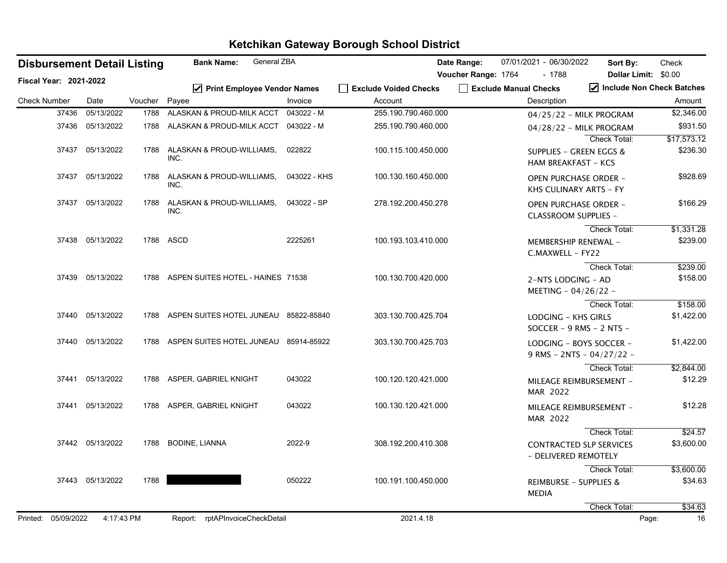| <b>Disbursement Detail Listing</b> |                  |         | General ZBA<br><b>Bank Name:</b>           |              |                                  | Date Range:         | 07/01/2021 - 06/30/2022              | Sort By:                                                    | Check                       |
|------------------------------------|------------------|---------|--------------------------------------------|--------------|----------------------------------|---------------------|--------------------------------------|-------------------------------------------------------------|-----------------------------|
| Fiscal Year: 2021-2022             |                  |         |                                            |              |                                  | Voucher Range: 1764 | $-1788$                              | Dollar Limit: \$0.00                                        | √ Include Non Check Batches |
| <b>Check Number</b>                | Date             | Voucher | ☑ Print Employee Vendor Names<br>Payee     | Invoice      | Exclude Voided Checks<br>Account |                     | Exclude Manual Checks<br>Description |                                                             | Amount                      |
| 37436                              | 05/13/2022       | 1788    | ALASKAN & PROUD-MILK ACCT 043022 - M       |              | 255.190.790.460.000              |                     |                                      | 04/25/22 - MILK PROGRAM                                     | \$2,346.00                  |
| 37436                              | 05/13/2022       |         | 1788 ALASKAN & PROUD-MILK ACCT 043022 - M  |              | 255.190.790.460.000              |                     |                                      | 04/28/22 - MILK PROGRAM                                     | \$931.50                    |
|                                    |                  |         |                                            |              |                                  |                     |                                      | Check Total:                                                | \$17,573.12                 |
|                                    | 37437 05/13/2022 | 1788    | ALASKAN & PROUD-WILLIAMS,<br>INC.          | 022822       | 100.115.100.450.000              |                     |                                      | SUPPLIES - GREEN EGGS &<br>HAM BREAKFAST - KCS              | \$236.30                    |
|                                    | 37437 05/13/2022 | 1788    | ALASKAN & PROUD-WILLIAMS,<br>INC.          | 043022 - KHS | 100.130.160.450.000              |                     |                                      | <b>OPEN PURCHASE ORDER -</b><br>KHS CULINARY ARTS - FY      | \$928.69                    |
|                                    | 37437 05/13/2022 | 1788    | ALASKAN & PROUD-WILLIAMS,<br>INC.          | 043022 - SP  | 278.192.200.450.278              |                     |                                      | <b>OPEN PURCHASE ORDER -</b><br><b>CLASSROOM SUPPLIES -</b> | \$166.29                    |
|                                    |                  |         |                                            |              |                                  |                     |                                      | Check Total:                                                | \$1,331.28                  |
|                                    | 37438 05/13/2022 |         | 1788 ASCD                                  | 2225261      | 100.193.103.410.000              |                     | C.MAXWELL - FY22                     | MEMBERSHIP RENEWAL -                                        | \$239.00                    |
|                                    |                  |         |                                            |              |                                  |                     |                                      | Check Total:                                                | \$239.00                    |
|                                    | 37439 05/13/2022 |         | 1788 ASPEN SUITES HOTEL - HAINES 71538     |              | 100.130.700.420.000              |                     | 2-NTS LODGING - AD                   | MEETING - 04/26/22 -                                        | \$158.00                    |
|                                    |                  |         |                                            |              |                                  |                     |                                      | Check Total:                                                | \$158.00                    |
|                                    | 37440 05/13/2022 |         | 1788 ASPEN SUITES HOTEL JUNEAU 85822-85840 |              | 303.130.700.425.704              |                     | <b>LODGING - KHS GIRLS</b>           | SOCCER - 9 RMS - 2 NTS -                                    | \$1,422.00                  |
|                                    | 37440 05/13/2022 |         | 1788 ASPEN SUITES HOTEL JUNEAU 85914-85922 |              | 303.130.700.425.703              |                     |                                      | LODGING - BOYS SOCCER -<br>9 RMS - 2NTS - 04/27/22 -        | \$1,422.00                  |
|                                    |                  |         |                                            |              |                                  |                     |                                      | Check Total:                                                | \$2,844.00                  |
|                                    | 37441 05/13/2022 |         | 1788 ASPER, GABRIEL KNIGHT                 | 043022       | 100.120.120.421.000              |                     | MAR 2022                             | MILEAGE REIMBURSEMENT -                                     | \$12.29                     |
|                                    | 37441 05/13/2022 | 1788    | ASPER, GABRIEL KNIGHT                      | 043022       | 100.130.120.421.000              |                     | MAR 2022                             | MILEAGE REIMBURSEMENT -                                     | \$12.28                     |
|                                    |                  |         |                                            |              |                                  |                     |                                      | Check Total:                                                | \$24.57                     |
|                                    | 37442 05/13/2022 |         | 1788 BODINE, LIANNA                        | 2022-9       | 308.192.200.410.308              |                     |                                      | <b>CONTRACTED SLP SERVICES</b><br>- DELIVERED REMOTELY      | \$3,600.00                  |
|                                    |                  |         |                                            |              |                                  |                     |                                      | Check Total:                                                | \$3,600.00                  |
|                                    | 37443 05/13/2022 | 1788    |                                            | 050222       | 100.191.100.450.000              |                     | <b>MEDIA</b>                         | REIMBURSE - SUPPLIES &                                      | \$34.63                     |
|                                    |                  |         |                                            |              |                                  |                     |                                      | Check Total:                                                | \$34.63                     |
| Printed: 05/09/2022                | 4:17:43 PM       |         | Report: rptAPInvoiceCheckDetail            |              | 2021.4.18                        |                     |                                      |                                                             | Page:<br>16                 |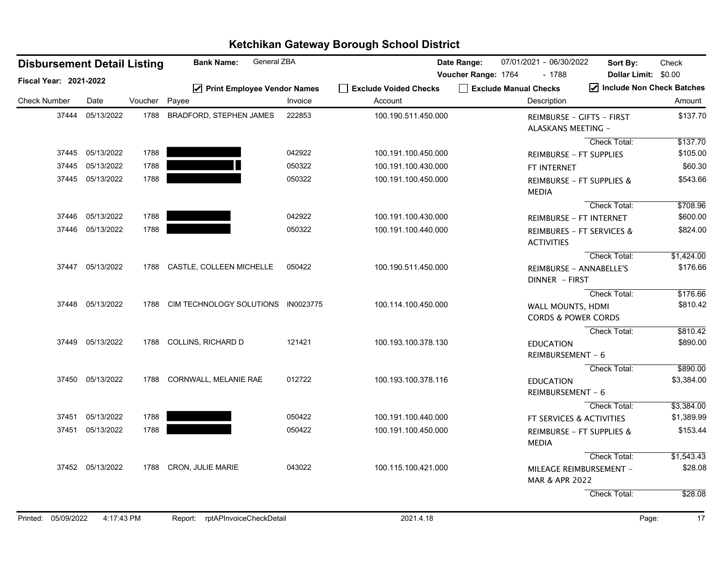| <b>Disbursement Detail Listing</b> |                  |               | General ZBA<br><b>Bank Name:</b>   |         |                                  | Date Range:         | 07/01/2021 - 06/30/2022                             | Sort By:                                          | Check       |
|------------------------------------|------------------|---------------|------------------------------------|---------|----------------------------------|---------------------|-----------------------------------------------------|---------------------------------------------------|-------------|
| Fiscal Year: 2021-2022             |                  |               |                                    |         |                                  | Voucher Range: 1764 | $-1788$                                             | <b>Dollar Limit:</b><br>Include Non Check Batches | \$0.00      |
| <b>Check Number</b>                | Date             | Voucher Payee | ☑ Print Employee Vendor Names      | Invoice | Exclude Voided Checks<br>Account |                     | Exclude Manual Checks<br>Description                |                                                   | Amount      |
| 37444                              | 05/13/2022       | 1788          | BRADFORD, STEPHEN JAMES            | 222853  | 100.190.511.450.000              |                     | ALASKANS MEETING -                                  | <b>REIMBURSE - GIFTS - FIRST</b>                  | \$137.70    |
|                                    |                  |               |                                    |         |                                  |                     |                                                     | Check Total:                                      | \$137.70    |
|                                    | 37445 05/13/2022 | 1788          |                                    | 042922  | 100.191.100.450.000              |                     | <b>REIMBURSE - FT SUPPLIES</b>                      |                                                   | \$105.00    |
|                                    | 37445 05/13/2022 | 1788          |                                    | 050322  | 100.191.100.430.000              |                     | FT INTERNET                                         |                                                   | \$60.30     |
|                                    | 37445 05/13/2022 | 1788          |                                    | 050322  | 100.191.100.450.000              |                     | <b>MEDIA</b>                                        | <b>REIMBURSE - FT SUPPLIES &amp;</b>              | \$543.66    |
|                                    |                  |               |                                    |         |                                  |                     |                                                     | Check Total:                                      | \$708.96    |
|                                    | 37446 05/13/2022 | 1788          |                                    | 042922  | 100.191.100.430.000              |                     |                                                     | REIMBURSE - FT INTERNET                           | \$600.00    |
|                                    | 37446 05/13/2022 | 1788          |                                    | 050322  | 100.191.100.440.000              |                     | <b>ACTIVITIES</b>                                   | <b>REIMBURES - FT SERVICES &amp;</b>              | \$824.00    |
|                                    |                  |               |                                    |         |                                  |                     |                                                     | Check Total:                                      | \$1,424.00  |
|                                    | 37447 05/13/2022 |               | 1788 CASTLE, COLLEEN MICHELLE      | 050422  | 100.190.511.450.000              |                     | DINNER - FIRST                                      | <b>REIMBURSE - ANNABELLE'S</b>                    | \$176.66    |
|                                    |                  |               |                                    |         |                                  |                     |                                                     | Check Total:                                      | \$176.66    |
|                                    | 37448 05/13/2022 | 1788          | CIM TECHNOLOGY SOLUTIONS IN0023775 |         | 100.114.100.450.000              |                     | WALL MOUNTS, HDMI<br><b>CORDS &amp; POWER CORDS</b> |                                                   | \$810.42    |
|                                    |                  |               |                                    |         |                                  |                     |                                                     | Check Total:                                      | \$810.42    |
|                                    | 37449 05/13/2022 |               | 1788 COLLINS, RICHARD D            | 121421  | 100.193.100.378.130              |                     | <b>EDUCATION</b><br>REIMBURSEMENT - 6               |                                                   | \$890.00    |
|                                    |                  |               |                                    |         |                                  |                     |                                                     | Check Total:                                      | \$890.00    |
|                                    | 37450 05/13/2022 |               | 1788 CORNWALL, MELANIE RAE         | 012722  | 100.193.100.378.116              |                     | <b>EDUCATION</b><br>REIMBURSEMENT - 6               |                                                   | \$3,384.00  |
|                                    |                  |               |                                    |         |                                  |                     |                                                     | Check Total:                                      | \$3,384.00  |
|                                    | 37451 05/13/2022 | 1788          |                                    | 050422  | 100.191.100.440.000              |                     |                                                     | FT SERVICES & ACTIVITIES                          | \$1,389.99  |
|                                    | 37451 05/13/2022 | 1788          |                                    | 050422  | 100.191.100.450.000              |                     | <b>MEDIA</b>                                        | REIMBURSE - FT SUPPLIES &                         | \$153.44    |
|                                    |                  |               |                                    |         |                                  |                     |                                                     | Check Total:                                      | \$1,543.43  |
|                                    | 37452 05/13/2022 |               | 1788 CRON, JULIE MARIE             | 043022  | 100.115.100.421.000              |                     | MAR & APR 2022                                      | MILEAGE REIMBURSEMENT -                           | \$28.08     |
|                                    |                  |               |                                    |         |                                  |                     |                                                     | Check Total:                                      | \$28.08     |
| Printed: 05/09/2022                | 4:17:43 PM       |               | Report: rptAPInvoiceCheckDetail    |         | 2021.4.18                        |                     |                                                     |                                                   | 17<br>Page: |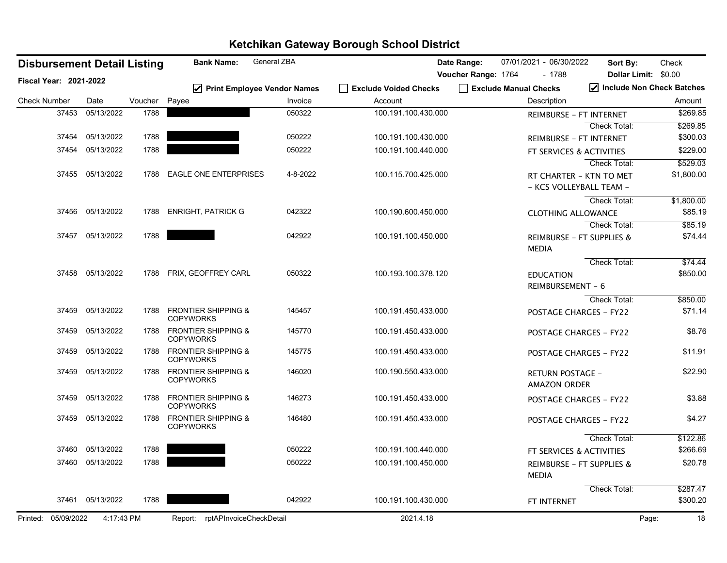|                               | <b>Disbursement Detail Listing</b> |                  |         | <b>Bank Name:</b>                                  | General ZBA                              |                                  | Date Range:         | 07/01/2021 - 06/30/2022              | Sort By:                                           | Check                               |
|-------------------------------|------------------------------------|------------------|---------|----------------------------------------------------|------------------------------------------|----------------------------------|---------------------|--------------------------------------|----------------------------------------------------|-------------------------------------|
| <b>Fiscal Year: 2021-2022</b> |                                    |                  |         |                                                    |                                          |                                  | Voucher Range: 1764 |                                      | $-1788$                                            | Dollar Limit: \$0.00                |
| <b>Check Number</b>           |                                    | Date             | Voucher | Payee                                              | ☑ Print Employee Vendor Names<br>Invoice | Exclude Voided Checks<br>Account |                     | Exclude Manual Checks<br>Description |                                                    | Include Non Check Batches<br>Amount |
|                               | 37453                              | 05/13/2022       | 1788    |                                                    | 050322                                   | 100.191.100.430.000              |                     |                                      |                                                    | \$269.85                            |
|                               |                                    |                  |         |                                                    |                                          |                                  |                     |                                      | REIMBURSE - FT INTERNET<br><b>Check Total:</b>     | \$269.85                            |
|                               | 37454                              | 05/13/2022       | 1788    |                                                    | 050222                                   | 100.191.100.430.000              |                     |                                      | <b>REIMBURSE - FT INTERNET</b>                     | \$300.03                            |
|                               | 37454                              | 05/13/2022       | 1788    |                                                    | 050222                                   | 100.191.100.440.000              |                     |                                      |                                                    | \$229.00                            |
|                               |                                    |                  |         |                                                    |                                          |                                  |                     |                                      | FT SERVICES & ACTIVITIES<br>Check Total:           | \$529.03                            |
|                               |                                    | 37455 05/13/2022 | 1788    | <b>EAGLE ONE ENTERPRISES</b>                       | 4-8-2022                                 | 100.115.700.425.000              |                     |                                      | RT CHARTER - KTN TO MET<br>- KCS VOLLEYBALL TEAM - | \$1,800.00                          |
|                               |                                    |                  |         |                                                    |                                          |                                  |                     |                                      | Check Total:                                       | \$1,800.00                          |
|                               | 37456                              | 05/13/2022       | 1788    | <b>ENRIGHT, PATRICK G</b>                          | 042322                                   | 100.190.600.450.000              |                     |                                      | <b>CLOTHING ALLOWANCE</b>                          | \$85.19                             |
|                               |                                    |                  |         |                                                    |                                          |                                  |                     |                                      | <b>Check Total:</b>                                | \$85.19                             |
|                               | 37457                              | 05/13/2022       | 1788    |                                                    | 042922                                   | 100.191.100.450.000              |                     | <b>MEDIA</b>                         | REIMBURSE - FT SUPPLIES &                          | \$74.44                             |
|                               |                                    |                  |         |                                                    |                                          |                                  |                     |                                      | Check Total:                                       | \$74.44                             |
|                               |                                    | 37458 05/13/2022 | 1788    | FRIX, GEOFFREY CARL                                | 050322                                   | 100.193.100.378.120              |                     | <b>EDUCATION</b>                     |                                                    | \$850.00                            |
|                               |                                    |                  |         |                                                    |                                          |                                  |                     |                                      | REIMBURSEMENT - 6                                  |                                     |
|                               |                                    |                  |         |                                                    |                                          |                                  |                     |                                      | <b>Check Total:</b>                                | \$850.00                            |
|                               | 37459                              | 05/13/2022       | 1788    | <b>FRONTIER SHIPPING &amp;</b><br><b>COPYWORKS</b> | 145457                                   | 100.191.450.433.000              |                     |                                      | <b>POSTAGE CHARGES - FY22</b>                      | \$71.14                             |
|                               | 37459                              | 05/13/2022       | 1788    | <b>FRONTIER SHIPPING &amp;</b><br><b>COPYWORKS</b> | 145770                                   | 100.191.450.433.000              |                     |                                      | <b>POSTAGE CHARGES - FY22</b>                      | \$8.76                              |
|                               | 37459                              | 05/13/2022       | 1788    | <b>FRONTIER SHIPPING &amp;</b><br><b>COPYWORKS</b> | 145775                                   | 100.191.450.433.000              |                     |                                      | <b>POSTAGE CHARGES - FY22</b>                      | \$11.91                             |
|                               | 37459                              | 05/13/2022       | 1788    | <b>FRONTIER SHIPPING &amp;</b><br><b>COPYWORKS</b> | 146020                                   | 100.190.550.433.000              |                     |                                      | <b>RETURN POSTAGE -</b><br><b>AMAZON ORDER</b>     | \$22.90                             |
|                               | 37459                              | 05/13/2022       | 1788    | <b>FRONTIER SHIPPING &amp;</b><br><b>COPYWORKS</b> | 146273                                   | 100.191.450.433.000              |                     |                                      | <b>POSTAGE CHARGES - FY22</b>                      | \$3.88                              |
|                               | 37459                              | 05/13/2022       | 1788    | <b>FRONTIER SHIPPING &amp;</b><br><b>COPYWORKS</b> | 146480                                   | 100.191.450.433.000              |                     |                                      | <b>POSTAGE CHARGES - FY22</b>                      | \$4.27                              |
|                               |                                    |                  |         |                                                    |                                          |                                  |                     |                                      | Check Total:                                       | \$122.86                            |
|                               | 37460                              | 05/13/2022       | 1788    |                                                    | 050222                                   | 100.191.100.440.000              |                     |                                      | <b>FT SERVICES &amp; ACTIVITIES</b>                | \$266.69                            |
|                               | 37460                              | 05/13/2022       | 1788    |                                                    | 050222                                   | 100.191.100.450.000              |                     | <b>MEDIA</b>                         | REIMBURSE - FT SUPPLIES &                          | \$20.78                             |
|                               |                                    |                  |         |                                                    |                                          |                                  |                     |                                      | Check Total:                                       | \$287.47                            |
|                               | 37461                              | 05/13/2022       | 1788    |                                                    | 042922                                   | 100.191.100.430.000              |                     | FT INTERNET                          |                                                    | \$300.20                            |
| Printed: 05/09/2022           |                                    | 4:17:43 PM       |         | Report: rptAPInvoiceCheckDetail                    |                                          | 2021.4.18                        |                     |                                      |                                                    | 18<br>Page:                         |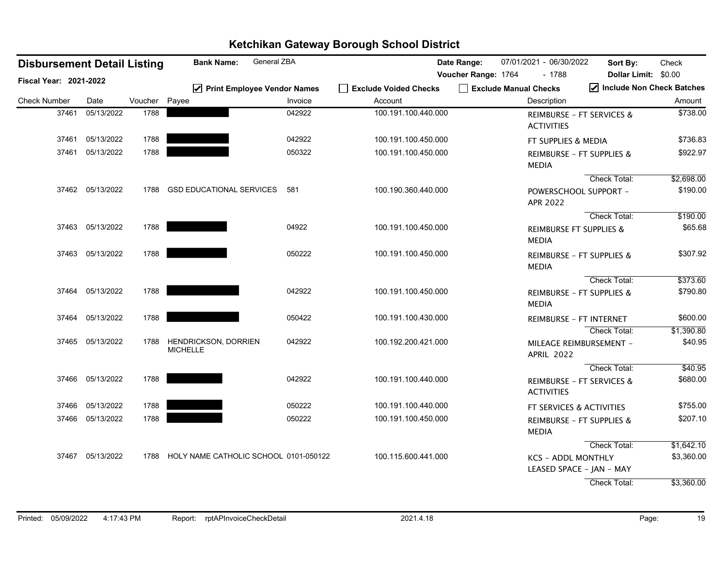| <b>Disbursement Detail Listing</b> |                  |               | General ZBA<br><b>Bank Name:</b>               |         |                       | Date Range:         | 07/01/2021 - 06/30/2022 | Sort By:                                                              | Check                               |
|------------------------------------|------------------|---------------|------------------------------------------------|---------|-----------------------|---------------------|-------------------------|-----------------------------------------------------------------------|-------------------------------------|
| Fiscal Year: 2021-2022             |                  |               | ☑ Print Employee Vendor Names                  |         | Exclude Voided Checks | Voucher Range: 1764 | Exclude Manual Checks   | $-1788$<br><b>Dollar Limit:</b>                                       | \$0.00<br>Include Non Check Batches |
| <b>Check Number</b>                | Date             | Voucher Payee |                                                | Invoice | Account               |                     | Description             |                                                                       | Amount                              |
| 37461                              | 05/13/2022       | 1788          |                                                | 042922  | 100.191.100.440.000   |                     | <b>ACTIVITIES</b>       | <b>REIMBURSE - FT SERVICES &amp;</b>                                  | \$738.00                            |
| 37461                              | 05/13/2022       | 1788          |                                                | 042922  | 100.191.100.450.000   |                     |                         | FT SUPPLIES & MEDIA                                                   | \$736.83                            |
| 37461                              | 05/13/2022       | 1788          |                                                | 050322  | 100.191.100.450.000   |                     | <b>MEDIA</b>            | REIMBURSE - FT SUPPLIES &                                             | \$922.97                            |
|                                    | 37462 05/13/2022 | 1788          | <b>GSD EDUCATIONAL SERVICES</b>                | 581     | 100.190.360.440.000   |                     | APR 2022                | Check Total:<br>POWERSCHOOL SUPPORT -                                 | \$2,698.00<br>\$190.00              |
|                                    | 37463 05/13/2022 | 1788          |                                                | 04922   | 100.191.100.450.000   |                     | <b>MEDIA</b>            | <b>Check Total:</b><br><b>REIMBURSE FT SUPPLIES &amp;</b>             | \$190.00<br>\$65.68                 |
|                                    | 37463 05/13/2022 | 1788          |                                                | 050222  | 100.191.100.450.000   |                     | <b>MEDIA</b>            | REIMBURSE - FT SUPPLIES &                                             | \$307.92                            |
|                                    | 37464 05/13/2022 | 1788          |                                                | 042922  | 100.191.100.450.000   |                     | <b>MEDIA</b>            | Check Total:<br>REIMBURSE - FT SUPPLIES &                             | \$373.60<br>\$790.80                |
|                                    | 37464 05/13/2022 | 1788          |                                                | 050422  | 100.191.100.430.000   |                     |                         | <b>REIMBURSE - FT INTERNET</b>                                        | \$600.00                            |
|                                    | 37465 05/13/2022 | 1788          | <b>HENDRICKSON, DORRIEN</b><br><b>MICHELLE</b> | 042922  | 100.192.200.421.000   |                     | <b>APRIL 2022</b>       | Check Total:<br>MILEAGE REIMBURSEMENT -                               | \$1,390.80<br>\$40.95               |
|                                    | 37466 05/13/2022 | 1788          |                                                | 042922  | 100.191.100.440.000   |                     | <b>ACTIVITIES</b>       | Check Total:<br><b>REIMBURSE - FT SERVICES &amp;</b>                  | \$40.95<br>\$680.00                 |
| 37466                              | 05/13/2022       | 1788          |                                                | 050222  | 100.191.100.440.000   |                     |                         | FT SERVICES & ACTIVITIES                                              | \$755.00                            |
|                                    | 37466 05/13/2022 | 1788          |                                                | 050222  | 100.191.100.450.000   |                     | <b>MEDIA</b>            | REIMBURSE - FT SUPPLIES &                                             | \$207.10                            |
|                                    | 37467 05/13/2022 |               | 1788 HOLY NAME CATHOLIC SCHOOL 0101-050122     |         | 100.115.600.441.000   |                     |                         | Check Total:<br><b>KCS - ADDL MONTHLY</b><br>LEASED SPACE - JAN - MAY | \$1,642.10<br>\$3,360.00            |
|                                    |                  |               |                                                |         |                       |                     |                         | Check Total:                                                          | \$3,360.00                          |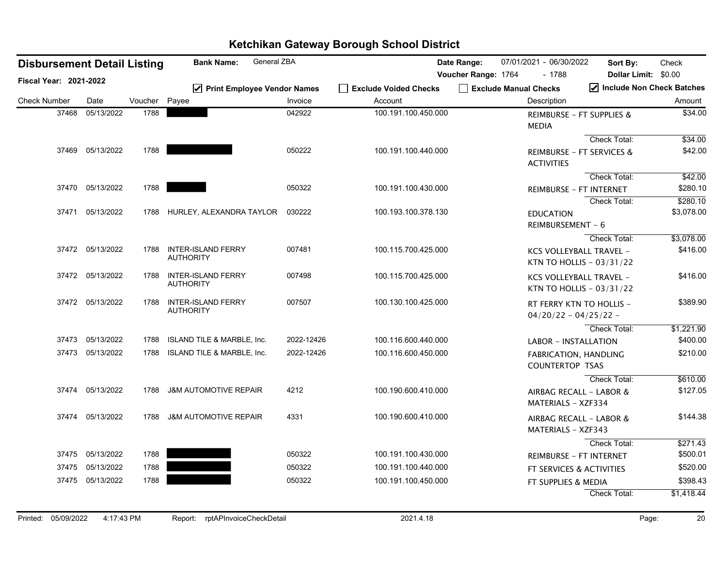| <b>Disbursement Detail Listing</b> |                  |         | General ZBA<br><b>Bank Name:</b>              |            |                       | Date Range:         | 07/01/2021 - 06/30/2022               | Sort By:                                                   | Check      |
|------------------------------------|------------------|---------|-----------------------------------------------|------------|-----------------------|---------------------|---------------------------------------|------------------------------------------------------------|------------|
| Fiscal Year: 2021-2022             |                  |         |                                               |            |                       | Voucher Range: 1764 | $-1788$                               | Dollar Limit: \$0.00                                       |            |
|                                    |                  |         | ☑ Print Employee Vendor Names                 |            | Exclude Voided Checks |                     | Exclude Manual Checks                 | Include Non Check Batches                                  |            |
| <b>Check Number</b>                | Date             | Voucher | Payee                                         | Invoice    | Account               |                     | Description                           |                                                            | Amount     |
| 37468                              | 05/13/2022       | 1788    |                                               | 042922     | 100.191.100.450.000   |                     | <b>MEDIA</b>                          | REIMBURSE - FT SUPPLIES &                                  | \$34.00    |
|                                    |                  |         |                                               |            |                       |                     |                                       | <b>Check Total:</b>                                        | \$34.00    |
|                                    | 37469 05/13/2022 | 1788    |                                               | 050222     | 100.191.100.440.000   |                     | <b>ACTIVITIES</b>                     | <b>REIMBURSE - FT SERVICES &amp;</b>                       | \$42.00    |
|                                    |                  |         |                                               |            |                       |                     |                                       | Check Total:                                               | \$42.00    |
| 37470                              | 05/13/2022       | 1788    |                                               | 050322     | 100.191.100.430.000   |                     |                                       | REIMBURSE - FT INTERNET                                    | \$280.10   |
|                                    |                  |         |                                               |            |                       |                     |                                       | Check Total:                                               | \$280.10   |
|                                    | 37471 05/13/2022 | 1788    | HURLEY, ALEXANDRA TAYLOR                      | 030222     | 100.193.100.378.130   |                     | <b>EDUCATION</b><br>REIMBURSEMENT - 6 |                                                            | \$3,078.00 |
|                                    |                  |         |                                               |            |                       |                     |                                       | Check Total:                                               | \$3,078.00 |
|                                    | 37472 05/13/2022 | 1788    | <b>INTER-ISLAND FERRY</b><br><b>AUTHORITY</b> | 007481     | 100.115.700.425.000   |                     |                                       | <b>KCS VOLLEYBALL TRAVEL -</b><br>KTN TO HOLLIS - 03/31/22 | \$416.00   |
|                                    | 37472 05/13/2022 | 1788    | <b>INTER-ISLAND FERRY</b><br><b>AUTHORITY</b> | 007498     | 100.115.700.425.000   |                     |                                       | KCS VOLLEYBALL TRAVEL -<br>KTN TO HOLLIS - 03/31/22        | \$416.00   |
|                                    | 37472 05/13/2022 | 1788    | <b>INTER-ISLAND FERRY</b><br><b>AUTHORITY</b> | 007507     | 100.130.100.425.000   |                     |                                       | RT FERRY KTN TO HOLLIS -<br>$04/20/22 - 04/25/22 -$        | \$389.90   |
|                                    |                  |         |                                               |            |                       |                     |                                       | Check Total:                                               | \$1,221.90 |
|                                    | 37473 05/13/2022 | 1788    | <b>ISLAND TILE &amp; MARBLE, Inc.</b>         | 2022-12426 | 100.116.600.440.000   |                     | <b>LABOR - INSTALLATION</b>           |                                                            | \$400.00   |
| 37473                              | 05/13/2022       | 1788    | ISLAND TILE & MARBLE, Inc.                    | 2022-12426 | 100.116.600.450.000   |                     | <b>COUNTERTOP TSAS</b>                | <b>FABRICATION, HANDLING</b>                               | \$210.00   |
|                                    |                  |         |                                               |            |                       |                     |                                       | Check Total:                                               | \$610.00   |
| 37474                              | 05/13/2022       | 1788    | <b>J&amp;M AUTOMOTIVE REPAIR</b>              | 4212       | 100.190.600.410.000   |                     | MATERIALS - XZF334                    | AIRBAG RECALL - LABOR &                                    | \$127.05   |
| 37474                              | 05/13/2022       | 1788    | <b>J&amp;M AUTOMOTIVE REPAIR</b>              | 4331       | 100.190.600.410.000   |                     | <b>MATERIALS - XZF343</b>             | AIRBAG RECALL - LABOR &                                    | \$144.38   |
|                                    |                  |         |                                               |            |                       |                     |                                       | Check Total:                                               | \$271.43   |
| 37475                              | 05/13/2022       | 1788    |                                               | 050322     | 100.191.100.430.000   |                     |                                       | <b>REIMBURSE - FT INTERNET</b>                             | \$500.01   |
| 37475                              | 05/13/2022       | 1788    |                                               | 050322     | 100.191.100.440.000   |                     |                                       | FT SERVICES & ACTIVITIES                                   | \$520.00   |
|                                    | 37475 05/13/2022 | 1788    |                                               | 050322     | 100.191.100.450.000   |                     | FT SUPPLIES & MEDIA                   |                                                            | \$398.43   |
|                                    |                  |         |                                               |            |                       |                     |                                       | Check Total:                                               | \$1,418.44 |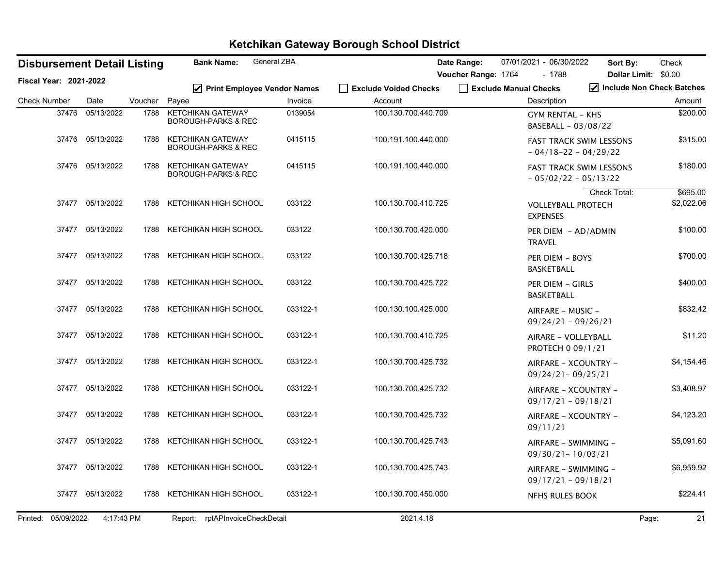| <b>Disbursement Detail Listing</b> |                  |         | <b>Bank Name:</b>                                          | General ZBA |                                  | 07/01/2021 - 06/30/2022<br>Date Range:<br>Sort By: |                                                          |                      | Check                               |
|------------------------------------|------------------|---------|------------------------------------------------------------|-------------|----------------------------------|----------------------------------------------------|----------------------------------------------------------|----------------------|-------------------------------------|
| Fiscal Year: 2021-2022             |                  |         |                                                            |             |                                  | Voucher Range: 1764                                | - 1788                                                   | Dollar Limit: \$0.00 |                                     |
| <b>Check Number</b>                | Date             | Voucher | ☑ Print Employee Vendor Names<br>Payee                     | Invoice     | Exclude Voided Checks<br>Account | Exclude Manual Checks                              | Description                                              |                      | Include Non Check Batches<br>Amount |
| 37476                              | 05/13/2022       | 1788    | <b>KETCHIKAN GATEWAY</b><br><b>BOROUGH-PARKS &amp; REC</b> | 0139054     | 100.130.700.440.709              |                                                    | <b>GYM RENTAL - KHS</b><br>BASEBALL - 03/08/22           |                      | \$200.00                            |
|                                    | 37476 05/13/2022 | 1788    | <b>KETCHIKAN GATEWAY</b><br><b>BOROUGH-PARKS &amp; REC</b> | 0415115     | 100.191.100.440.000              |                                                    | <b>FAST TRACK SWIM LESSONS</b><br>$-04/18-22-04/29/22$   |                      | \$315.00                            |
|                                    | 37476 05/13/2022 | 1788    | KETCHIKAN GATEWAY<br><b>BOROUGH-PARKS &amp; REC</b>        | 0415115     | 100.191.100.440.000              |                                                    | <b>FAST TRACK SWIM LESSONS</b><br>$-05/02/22 - 05/13/22$ |                      | \$180.00                            |
|                                    | 37477 05/13/2022 | 1788    | KETCHIKAN HIGH SCHOOL                                      | 033122      | 100.130.700.410.725              |                                                    | <b>VOLLEYBALL PROTECH</b><br><b>EXPENSES</b>             | <b>Check Total:</b>  | \$695.00<br>\$2,022.06              |
|                                    | 37477 05/13/2022 | 1788    | KETCHIKAN HIGH SCHOOL                                      | 033122      | 100.130.700.420.000              |                                                    | PER DIEM - AD/ADMIN<br><b>TRAVEL</b>                     |                      | \$100.00                            |
|                                    | 37477 05/13/2022 | 1788    | KETCHIKAN HIGH SCHOOL                                      | 033122      | 100.130.700.425.718              |                                                    | PER DIEM - BOYS<br><b>BASKETBALL</b>                     |                      | \$700.00                            |
|                                    | 37477 05/13/2022 | 1788    | KETCHIKAN HIGH SCHOOL                                      | 033122      | 100.130.700.425.722              |                                                    | PER DIEM - GIRLS<br><b>BASKETBALL</b>                    |                      | \$400.00                            |
|                                    | 37477 05/13/2022 | 1788    | KETCHIKAN HIGH SCHOOL                                      | 033122-1    | 100.130.100.425.000              |                                                    | AIRFARE - MUSIC -<br>$09/24/21 - 09/26/21$               |                      | \$832.42                            |
|                                    | 37477 05/13/2022 |         | 1788 KETCHIKAN HIGH SCHOOL                                 | 033122-1    | 100.130.700.410.725              |                                                    | AIRARE - VOLLEYBALL<br>PROTECH 0 09/1/21                 |                      | \$11.20                             |
|                                    | 37477 05/13/2022 | 1788    | KETCHIKAN HIGH SCHOOL                                      | 033122-1    | 100.130.700.425.732              |                                                    | AIRFARE - XCOUNTRY -<br>$09/24/21 - 09/25/21$            |                      | \$4,154.46                          |
|                                    | 37477 05/13/2022 | 1788    | KETCHIKAN HIGH SCHOOL                                      | 033122-1    | 100.130.700.425.732              |                                                    | AIRFARE - XCOUNTRY -<br>$09/17/21 - 09/18/21$            |                      | \$3,408.97                          |
|                                    | 37477 05/13/2022 | 1788    | KETCHIKAN HIGH SCHOOL                                      | 033122-1    | 100.130.700.425.732              |                                                    | AIRFARE - XCOUNTRY -<br>09/11/21                         |                      | \$4,123.20                          |
|                                    | 37477 05/13/2022 | 1788    | KETCHIKAN HIGH SCHOOL                                      | 033122-1    | 100.130.700.425.743              |                                                    | AIRFARE - SWIMMING -<br>$09/30/21 - 10/03/21$            |                      | \$5,091.60                          |
|                                    | 37477 05/13/2022 |         | 1788 KETCHIKAN HIGH SCHOOL                                 | 033122-1    | 100.130.700.425.743              |                                                    | AIRFARE - SWIMMING -<br>$09/17/21 - 09/18/21$            |                      | \$6,959.92                          |
|                                    | 37477 05/13/2022 | 1788    | KETCHIKAN HIGH SCHOOL                                      | 033122-1    | 100.130.700.450.000              |                                                    | <b>NFHS RULES BOOK</b>                                   |                      | \$224.41                            |
| Printed: 05/09/2022                | 4:17:43 PM       |         | Report: rptAPInvoiceCheckDetail                            |             | 2021.4.18                        |                                                    |                                                          |                      | 21<br>Page:                         |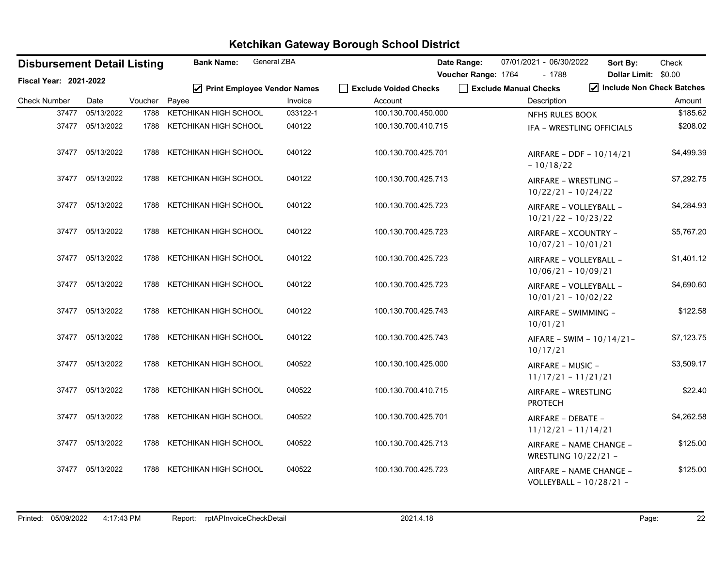| <b>Disbursement Detail Listing</b> |                  |         | <b>Bank Name:</b>             | General ZBA |                       | Date Range:         |                       | 07/01/2021 - 06/30/2022                         | Sort By:                  | Check      |
|------------------------------------|------------------|---------|-------------------------------|-------------|-----------------------|---------------------|-----------------------|-------------------------------------------------|---------------------------|------------|
| Fiscal Year: 2021-2022             |                  |         |                               |             |                       | Voucher Range: 1764 |                       | $-1788$                                         | Dollar Limit: \$0.00      |            |
|                                    |                  |         | ☑ Print Employee Vendor Names |             | Exclude Voided Checks |                     | Exclude Manual Checks |                                                 | Include Non Check Batches |            |
| <b>Check Number</b>                | Date             | Voucher | Payee                         | Invoice     | Account               |                     |                       | Description                                     |                           | Amount     |
| 37477                              | 05/13/2022       | 1788    | KETCHIKAN HIGH SCHOOL         | 033122-1    | 100.130.700.450.000   |                     |                       | <b>NFHS RULES BOOK</b>                          |                           | \$185.62   |
|                                    | 37477 05/13/2022 | 1788    | KETCHIKAN HIGH SCHOOL         | 040122      | 100.130.700.410.715   |                     |                       |                                                 | IFA - WRESTLING OFFICIALS | \$208.02   |
|                                    | 37477 05/13/2022 | 1788    | KETCHIKAN HIGH SCHOOL         | 040122      | 100.130.700.425.701   |                     |                       | $-10/18/22$                                     | AIRFARE - DDF - 10/14/21  | \$4,499.39 |
|                                    | 37477 05/13/2022 | 1788    | KETCHIKAN HIGH SCHOOL         | 040122      | 100.130.700.425.713   |                     |                       | AIRFARE - WRESTLING -<br>$10/22/21 - 10/24/22$  |                           | \$7,292.75 |
|                                    | 37477 05/13/2022 | 1788    | KETCHIKAN HIGH SCHOOL         | 040122      | 100.130.700.425.723   |                     |                       | AIRFARE - VOLLEYBALL -<br>$10/21/22 - 10/23/22$ |                           | \$4,284.93 |
|                                    | 37477 05/13/2022 | 1788    | KETCHIKAN HIGH SCHOOL         | 040122      | 100.130.700.425.723   |                     |                       | AIRFARE - XCOUNTRY -<br>$10/07/21 - 10/01/21$   |                           | \$5,767.20 |
|                                    | 37477 05/13/2022 | 1788    | KETCHIKAN HIGH SCHOOL         | 040122      | 100.130.700.425.723   |                     |                       | AIRFARE - VOLLEYBALL -<br>$10/06/21 - 10/09/21$ |                           | \$1,401.12 |
|                                    | 37477 05/13/2022 | 1788    | KETCHIKAN HIGH SCHOOL         | 040122      | 100.130.700.425.723   |                     |                       | AIRFARE - VOLLEYBALL -<br>$10/01/21 - 10/02/22$ |                           | \$4,690.60 |
|                                    | 37477 05/13/2022 | 1788    | KETCHIKAN HIGH SCHOOL         | 040122      | 100.130.700.425.743   |                     |                       | AIRFARE - SWIMMING -<br>10/01/21                |                           | \$122.58   |
|                                    | 37477 05/13/2022 | 1788    | KETCHIKAN HIGH SCHOOL         | 040122      | 100.130.700.425.743   |                     |                       | 10/17/21                                        | AIFARE - SWIM - 10/14/21- | \$7,123.75 |
|                                    | 37477 05/13/2022 | 1788    | KETCHIKAN HIGH SCHOOL         | 040522      | 100.130.100.425.000   |                     |                       | AIRFARE - MUSIC -<br>$11/17/21 - 11/21/21$      |                           | \$3,509.17 |
|                                    | 37477 05/13/2022 | 1788    | KETCHIKAN HIGH SCHOOL         | 040522      | 100.130.700.410.715   |                     |                       | AIRFARE - WRESTLING<br><b>PROTECH</b>           |                           | \$22.40    |
|                                    | 37477 05/13/2022 | 1788    | KETCHIKAN HIGH SCHOOL         | 040522      | 100.130.700.425.701   |                     |                       | AIRFARE - DEBATE -<br>$11/12/21 - 11/14/21$     |                           | \$4,262.58 |
|                                    | 37477 05/13/2022 | 1788    | KETCHIKAN HIGH SCHOOL         | 040522      | 100.130.700.425.713   |                     |                       | WRESTLING 10/22/21 -                            | AIRFARE - NAME CHANGE -   | \$125.00   |
| 37477                              | 05/13/2022       | 1788    | KETCHIKAN HIGH SCHOOL         | 040522      | 100.130.700.425.723   |                     |                       | VOLLEYBALL - 10/28/21 -                         | AIRFARE - NAME CHANGE -   | \$125.00   |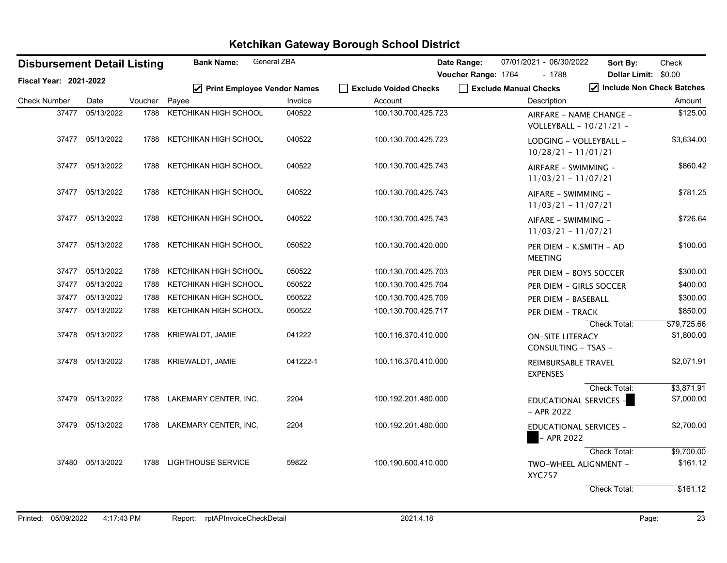| <b>Disbursement Detail Listing</b> |                  |         | <b>Bank Name:</b>             | General ZBA |                       | Date Range:<br>07/01/2021 - 06/30/2022             | Check<br>Sort By:           |
|------------------------------------|------------------|---------|-------------------------------|-------------|-----------------------|----------------------------------------------------|-----------------------------|
| Fiscal Year: 2021-2022             |                  |         |                               |             |                       | Voucher Range: 1764<br>- 1788                      | Dollar Limit: \$0.00        |
|                                    |                  |         | ☑ Print Employee Vendor Names |             | Exclude Voided Checks | Exclude Manual Checks                              | Include Non Check Batches   |
| <b>Check Number</b>                | Date             | Voucher | Payee                         | Invoice     | Account               | Description                                        | Amount                      |
| 37477                              | 05/13/2022       | 1788    | KETCHIKAN HIGH SCHOOL         | 040522      | 100.130.700.425.723   | AIRFARE - NAME CHANGE -<br>VOLLEYBALL - 10/21/21 - | \$125.00                    |
|                                    | 37477 05/13/2022 | 1788    | KETCHIKAN HIGH SCHOOL         | 040522      | 100.130.700.425.723   | LODGING - VOLLEYBALL -<br>$10/28/21 - 11/01/21$    | \$3,634.00                  |
|                                    | 37477 05/13/2022 | 1788    | KETCHIKAN HIGH SCHOOL         | 040522      | 100.130.700.425.743   | AIRFARE - SWIMMING -<br>$11/03/21 - 11/07/21$      | \$860.42                    |
|                                    | 37477 05/13/2022 | 1788    | KETCHIKAN HIGH SCHOOL         | 040522      | 100.130.700.425.743   | AIFARE - SWIMMING -<br>$11/03/21 - 11/07/21$       | \$781.25                    |
|                                    | 37477 05/13/2022 | 1788    | KETCHIKAN HIGH SCHOOL         | 040522      | 100.130.700.425.743   | AIFARE - SWIMMING -<br>$11/03/21 - 11/07/21$       | \$726.64                    |
|                                    | 37477 05/13/2022 | 1788    | KETCHIKAN HIGH SCHOOL         | 050522      | 100.130.700.420.000   | PER DIEM - K.SMITH - AD<br><b>MEETING</b>          | \$100.00                    |
|                                    | 37477 05/13/2022 | 1788    | KETCHIKAN HIGH SCHOOL         | 050522      | 100.130.700.425.703   | PER DIEM - BOYS SOCCER                             | \$300.00                    |
|                                    | 37477 05/13/2022 | 1788    | KETCHIKAN HIGH SCHOOL         | 050522      | 100.130.700.425.704   | PER DIEM - GIRLS SOCCER                            | \$400.00                    |
| 37477                              | 05/13/2022       | 1788    | KETCHIKAN HIGH SCHOOL         | 050522      | 100.130.700.425.709   | PER DIEM - BASEBALL                                | \$300.00                    |
|                                    | 37477 05/13/2022 | 1788    | KETCHIKAN HIGH SCHOOL         | 050522      | 100.130.700.425.717   | PER DIEM – TRACK                                   | \$850.00                    |
|                                    |                  |         |                               |             |                       |                                                    | Check Total:<br>\$79,725.66 |
|                                    | 37478 05/13/2022 | 1788    | KRIEWALDT, JAMIE              | 041222      | 100.116.370.410.000   | <b>ON-SITE LITERACY</b><br>CONSULTING - TSAS -     | \$1,800.00                  |
|                                    | 37478 05/13/2022 | 1788    | KRIEWALDT, JAMIE              | 041222-1    | 100.116.370.410.000   | REIMBURSABLE TRAVEL<br><b>EXPENSES</b>             | \$2,071.91                  |
|                                    |                  |         |                               |             |                       |                                                    | Check Total:<br>\$3,871.91  |
|                                    | 37479 05/13/2022 |         | 1788 LAKEMARY CENTER, INC.    | 2204        | 100.192.201.480.000   | EDUCATIONAL SERVICES -<br>$-$ APR 2022             | \$7,000.00                  |
|                                    | 37479 05/13/2022 | 1788    | LAKEMARY CENTER, INC.         | 2204        | 100.192.201.480.000   | <b>EDUCATIONAL SERVICES -</b><br>- APR 2022        | \$2,700.00                  |
|                                    |                  |         |                               |             |                       |                                                    | Check Total:<br>\$9,700.00  |
| 37480                              | 05/13/2022       | 1788    | <b>LIGHTHOUSE SERVICE</b>     | 59822       | 100.190.600.410.000   | TWO-WHEEL ALIGNMENT -<br><b>XYC757</b>             | \$161.12                    |
|                                    |                  |         |                               |             |                       |                                                    | \$161.12<br>Check Total:    |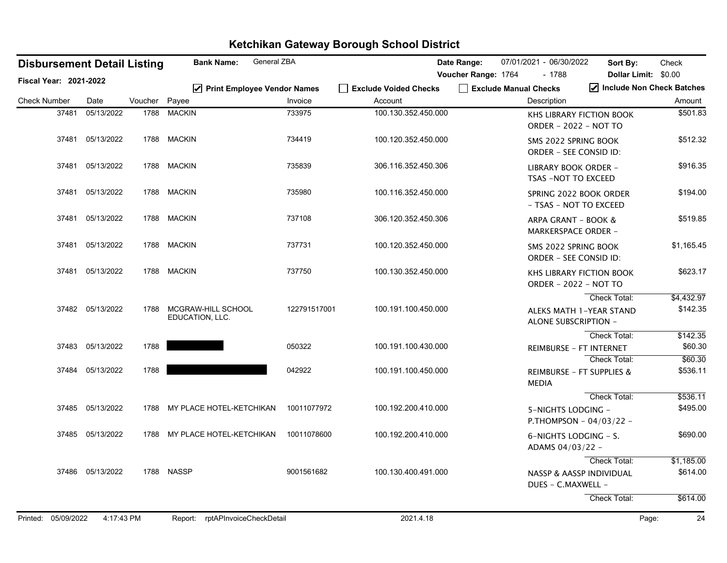|                               |       | <b>Disbursement Detail Listing</b> |         | General ZBA<br><b>Bank Name:</b>       |              |                                  | Date Range:         | 07/01/2021 - 06/30/2022                               | Sort By:                             | Check                               |
|-------------------------------|-------|------------------------------------|---------|----------------------------------------|--------------|----------------------------------|---------------------|-------------------------------------------------------|--------------------------------------|-------------------------------------|
| <b>Fiscal Year: 2021-2022</b> |       |                                    |         |                                        |              |                                  | Voucher Range: 1764 | $-1788$                                               |                                      | Dollar Limit: \$0.00                |
| <b>Check Number</b>           |       | Date                               | Voucher | ☑ Print Employee Vendor Names<br>Payee | Invoice      | Exclude Voided Checks<br>Account |                     | Exclude Manual Checks<br>Description                  |                                      | Include Non Check Batches<br>Amount |
|                               | 37481 | 05/13/2022                         | 1788    | <b>MACKIN</b>                          | 733975       |                                  |                     |                                                       |                                      |                                     |
|                               |       |                                    |         |                                        |              | 100.130.352.450.000              |                     | ORDER - 2022 - NOT TO                                 | <b>KHS LIBRARY FICTION BOOK</b>      | \$501.83                            |
|                               |       | 37481 05/13/2022                   |         | 1788 MACKIN                            | 734419       | 100.120.352.450.000              |                     | SMS 2022 SPRING BOOK<br><b>ORDER - SEE CONSID ID:</b> |                                      | \$512.32                            |
|                               | 37481 | 05/13/2022                         | 1788    | <b>MACKIN</b>                          | 735839       | 306.116.352.450.306              |                     | LIBRARY BOOK ORDER -<br>TSAS -NOT TO EXCEED           |                                      | \$916.35                            |
|                               | 37481 | 05/13/2022                         |         | 1788 MACKIN                            | 735980       | 100.116.352.450.000              |                     | - TSAS - NOT TO EXCEED                                | SPRING 2022 BOOK ORDER               | \$194.00                            |
|                               | 37481 | 05/13/2022                         |         | 1788 MACKIN                            | 737108       | 306.120.352.450.306              |                     | ARPA GRANT - BOOK &<br><b>MARKERSPACE ORDER -</b>     |                                      | \$519.85                            |
|                               | 37481 | 05/13/2022                         |         | 1788 MACKIN                            | 737731       | 100.120.352.450.000              |                     | SMS 2022 SPRING BOOK<br>ORDER - SEE CONSID ID:        |                                      | \$1,165.45                          |
|                               |       | 37481 05/13/2022                   |         | 1788 MACKIN                            | 737750       | 100.130.352.450.000              |                     | ORDER - 2022 - NOT TO                                 | <b>KHS LIBRARY FICTION BOOK</b>      | \$623.17                            |
|                               |       |                                    |         |                                        |              |                                  |                     |                                                       | Check Total:                         | \$4,432.97                          |
|                               |       | 37482 05/13/2022                   | 1788    | MCGRAW-HILL SCHOOL<br>EDUCATION, LLC.  | 122791517001 | 100.191.100.450.000              |                     | ALONE SUBSCRIPTION -                                  | ALEKS MATH 1-YEAR STAND              | \$142.35                            |
|                               |       |                                    |         |                                        |              |                                  |                     |                                                       | Check Total:                         | \$142.35                            |
|                               |       | 37483 05/13/2022                   | 1788    |                                        | 050322       | 100.191.100.430.000              |                     |                                                       | REIMBURSE - FT INTERNET              | \$60.30                             |
|                               |       |                                    |         |                                        |              |                                  |                     |                                                       | <b>Check Total:</b>                  | \$60.30                             |
|                               | 37484 | 05/13/2022                         | 1788    |                                        | 042922       | 100.191.100.450.000              |                     | <b>MEDIA</b>                                          | <b>REIMBURSE - FT SUPPLIES &amp;</b> | \$536.11                            |
|                               |       |                                    |         |                                        |              |                                  |                     |                                                       | Check Total:                         | \$536.11                            |
|                               |       | 37485 05/13/2022                   |         | 1788 MY PLACE HOTEL-KETCHIKAN          | 10011077972  | 100.192.200.410.000              |                     | 5-NIGHTS LODGING -                                    | P.THOMPSON - 04/03/22 -              | \$495.00                            |
|                               |       | 37485 05/13/2022                   |         | 1788 MY PLACE HOTEL-KETCHIKAN          | 10011078600  | 100.192.200.410.000              |                     | 6-NIGHTS LODGING - S.<br>ADAMS 04/03/22 -             |                                      | \$690.00                            |
|                               |       |                                    |         |                                        |              |                                  |                     |                                                       | Check Total:                         | \$1,185.00                          |
|                               |       | 37486 05/13/2022                   |         | 1788 NASSP                             | 9001561682   | 100.130.400.491.000              |                     | DUES - C.MAXWELL -                                    | <b>NASSP &amp; AASSP INDIVIDUAL</b>  | \$614.00                            |
|                               |       |                                    |         |                                        |              |                                  |                     |                                                       | Check Total:                         | \$614.00                            |
| Printed: 05/09/2022           |       | 4:17:43 PM                         |         | Report: rptAPInvoiceCheckDetail        |              | 2021.4.18                        |                     |                                                       |                                      | 24<br>Page:                         |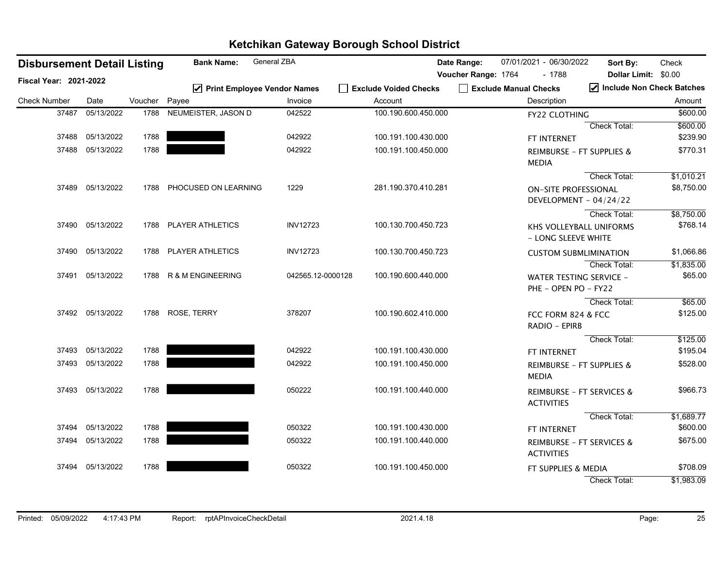| General ZBA<br><b>Bank Name:</b><br><b>Disbursement Detail Listing</b> |                  |               |                               |                     | Date Range:                      | 07/01/2021 - 06/30/2022         | Sort By:                             | Check                                                  |                                     |
|------------------------------------------------------------------------|------------------|---------------|-------------------------------|---------------------|----------------------------------|---------------------------------|--------------------------------------|--------------------------------------------------------|-------------------------------------|
| <b>Fiscal Year: 2021-2022</b>                                          |                  |               |                               | Voucher Range: 1764 |                                  | $-1788$<br>Dollar Limit: \$0.00 |                                      |                                                        |                                     |
| <b>Check Number</b>                                                    | Date             | Voucher Payee | ☑ Print Employee Vendor Names | Invoice             | Exclude Voided Checks<br>Account |                                 | Exclude Manual Checks<br>Description |                                                        | Include Non Check Batches<br>Amount |
| 37487                                                                  | 05/13/2022       | 1788          | NEUMEISTER, JASON D           | 042522              | 100.190.600.450.000              |                                 |                                      |                                                        | \$600.00                            |
|                                                                        |                  |               |                               |                     |                                  |                                 |                                      | FY22 CLOTHING                                          |                                     |
|                                                                        | 37488 05/13/2022 | 1788          |                               | 042922              |                                  |                                 |                                      | Check Total:                                           | \$600.00<br>\$239.90                |
|                                                                        |                  |               |                               |                     | 100.191.100.430.000              |                                 | FT INTERNET                          |                                                        |                                     |
| 37488                                                                  | 05/13/2022       | 1788          |                               | 042922              | 100.191.100.450.000              |                                 | <b>MEDIA</b>                         | <b>REIMBURSE - FT SUPPLIES &amp;</b>                   | \$770.31                            |
|                                                                        |                  |               |                               |                     |                                  |                                 |                                      | Check Total:                                           | \$1,010.21                          |
|                                                                        | 37489 05/13/2022 | 1788          | PHOCUSED ON LEARNING          | 1229                | 281.190.370.410.281              |                                 |                                      | <b>ON-SITE PROFESSIONAL</b>                            | \$8,750.00                          |
|                                                                        |                  |               |                               |                     |                                  |                                 |                                      | DEVELOPMENT - 04/24/22                                 |                                     |
|                                                                        |                  |               |                               |                     |                                  |                                 |                                      | Check Total:                                           | \$8,750.00                          |
|                                                                        | 37490 05/13/2022 | 1788          | PLAYER ATHLETICS              | <b>INV12723</b>     | 100.130.700.450.723              |                                 |                                      | KHS VOLLEYBALL UNIFORMS                                | \$768.14                            |
|                                                                        |                  |               |                               |                     |                                  |                                 |                                      | - LONG SLEEVE WHITE                                    |                                     |
|                                                                        | 37490 05/13/2022 | 1788          | <b>PLAYER ATHLETICS</b>       | <b>INV12723</b>     | 100.130.700.450.723              |                                 |                                      | <b>CUSTOM SUBMLIMINATION</b>                           | \$1,066.86                          |
|                                                                        |                  |               |                               |                     |                                  |                                 |                                      | Check Total:                                           | \$1,835.00                          |
|                                                                        | 37491 05/13/2022 | 1788          | R & M ENGINEERING             | 042565.12-0000128   | 100.190.600.440.000              |                                 |                                      | <b>WATER TESTING SERVICE -</b><br>PHE - OPEN PO - FY22 | \$65.00                             |
|                                                                        |                  |               |                               |                     |                                  |                                 |                                      | Check Total:                                           | \$65.00                             |
|                                                                        | 37492 05/13/2022 |               | 1788 ROSE, TERRY              | 378207              | 100.190.602.410.000              |                                 |                                      | FCC FORM 824 & FCC<br>RADIO - EPIRB                    | \$125.00                            |
|                                                                        |                  |               |                               |                     |                                  |                                 |                                      | Check Total:                                           | \$125.00                            |
|                                                                        | 37493 05/13/2022 | 1788          |                               | 042922              | 100.191.100.430.000              |                                 | FT INTERNET                          |                                                        | \$195.04                            |
| 37493                                                                  | 05/13/2022       | 1788          |                               | 042922              | 100.191.100.450.000              |                                 | <b>MEDIA</b>                         | REIMBURSE - FT SUPPLIES &                              | \$528.00                            |
|                                                                        | 37493 05/13/2022 | 1788          |                               | 050222              | 100.191.100.440.000              |                                 | <b>ACTIVITIES</b>                    | REIMBURSE - FT SERVICES &                              | \$966.73                            |
|                                                                        |                  |               |                               |                     |                                  |                                 |                                      | Check Total:                                           | \$1,689.77                          |
|                                                                        | 37494 05/13/2022 | 1788          |                               | 050322              | 100.191.100.430.000              |                                 | FT INTERNET                          |                                                        | \$600.00                            |
|                                                                        | 37494 05/13/2022 | 1788          |                               | 050322              | 100.191.100.440.000              |                                 | <b>ACTIVITIES</b>                    | <b>REIMBURSE - FT SERVICES &amp;</b>                   | \$675.00                            |
|                                                                        | 37494 05/13/2022 | 1788          |                               | 050322              | 100.191.100.450.000              |                                 |                                      | FT SUPPLIES & MEDIA                                    | \$708.09                            |
|                                                                        |                  |               |                               |                     |                                  |                                 |                                      | <b>Check Total:</b>                                    | \$1,983.09                          |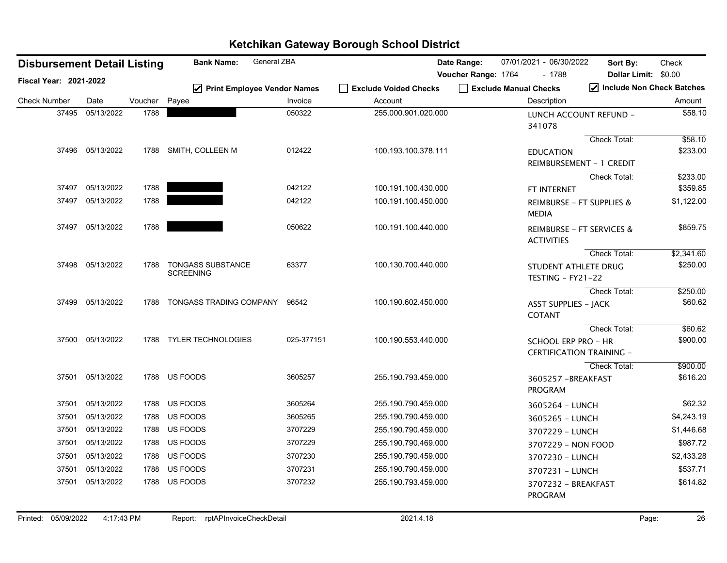| <b>Disbursement Detail Listing</b> |                  |         | <b>Bank Name:</b>                            | General ZBA |                       | Date Range:         | 07/01/2021 - 06/30/2022 |                                       | Sort By:                             | Check      |
|------------------------------------|------------------|---------|----------------------------------------------|-------------|-----------------------|---------------------|-------------------------|---------------------------------------|--------------------------------------|------------|
| Fiscal Year: 2021-2022             |                  |         |                                              |             |                       | Voucher Range: 1764 |                         | $-1788$                               | <b>Dollar Limit:</b>                 | \$0.00     |
|                                    |                  |         | ☑ Print Employee Vendor Names                |             | Exclude Voided Checks |                     | Exclude Manual Checks   |                                       | Include Non Check Batches            |            |
| <b>Check Number</b>                | Date             | Voucher | Payee                                        | Invoice     | Account               |                     |                         | Description                           |                                      | Amount     |
| 37495                              | 05/13/2022       | 1788    |                                              | 050322      | 255.000.901.020.000   |                     | 341078                  |                                       | LUNCH ACCOUNT REFUND -               | \$58.10    |
|                                    |                  |         |                                              |             |                       |                     |                         |                                       | Check Total:                         | \$58.10    |
|                                    | 37496 05/13/2022 |         | 1788 SMITH, COLLEEN M                        | 012422      | 100.193.100.378.111   |                     |                         | <b>EDUCATION</b>                      | REIMBURSEMENT - 1 CREDIT             | \$233.00   |
|                                    |                  |         |                                              |             |                       |                     |                         |                                       | Check Total:                         | \$233.00   |
| 37497                              | 05/13/2022       | 1788    |                                              | 042122      | 100.191.100.430.000   |                     |                         | FT INTERNET                           |                                      | \$359.85   |
| 37497                              | 05/13/2022       | 1788    |                                              | 042122      | 100.191.100.450.000   |                     | <b>MEDIA</b>            |                                       | REIMBURSE - FT SUPPLIES &            | \$1,122.00 |
| 37497                              | 05/13/2022       | 1788    |                                              | 050622      | 100.191.100.440.000   |                     |                         | <b>ACTIVITIES</b>                     | <b>REIMBURSE - FT SERVICES &amp;</b> | \$859.75   |
|                                    |                  |         |                                              |             |                       |                     |                         |                                       | Check Total:                         | \$2,341.60 |
| 37498                              | 05/13/2022       | 1788    | <b>TONGASS SUBSTANCE</b><br><b>SCREENING</b> | 63377       | 100.130.700.440.000   |                     |                         | TESTING - FY21-22                     | STUDENT ATHLETE DRUG                 | \$250.00   |
|                                    |                  |         |                                              |             |                       |                     |                         |                                       | Check Total:                         | \$250.00   |
| 37499                              | 05/13/2022       | 1788    | TONGASS TRADING COMPANY                      | 96542       | 100.190.602.450.000   |                     | <b>COTANT</b>           | <b>ASST SUPPLIES - JACK</b>           |                                      | \$60.62    |
|                                    |                  |         |                                              |             |                       |                     |                         |                                       | Check Total:                         | \$60.62    |
| 37500                              | 05/13/2022       |         | 1788 TYLER TECHNOLOGIES                      | 025-377151  | 100.190.553.440.000   |                     |                         | <b>SCHOOL ERP PRO - HR</b>            | <b>CERTIFICATION TRAINING -</b>      | \$900.00   |
|                                    |                  |         |                                              |             |                       |                     |                         |                                       | Check Total:                         | \$900.00   |
| 37501                              | 05/13/2022       |         | 1788 US FOODS                                | 3605257     | 255.190.793.459.000   |                     |                         | 3605257 - BREAKFAST<br>PROGRAM        |                                      | \$616.20   |
| 37501                              | 05/13/2022       | 1788    | US FOODS                                     | 3605264     | 255.190.790.459.000   |                     |                         | 3605264 - LUNCH                       |                                      | \$62.32    |
| 37501                              | 05/13/2022       | 1788    | US FOODS                                     | 3605265     | 255.190.790.459.000   |                     |                         | 3605265 - LUNCH                       |                                      | \$4,243.19 |
| 37501                              | 05/13/2022       | 1788    | US FOODS                                     | 3707229     | 255.190.790.459.000   |                     |                         | 3707229 - LUNCH                       |                                      | \$1,446.68 |
| 37501                              | 05/13/2022       | 1788    | US FOODS                                     | 3707229     | 255.190.790.469.000   |                     |                         | 3707229 - NON FOOD                    |                                      | \$987.72   |
| 37501                              | 05/13/2022       |         | 1788 US FOODS                                | 3707230     | 255.190.790.459.000   |                     |                         | 3707230 - LUNCH                       |                                      | \$2,433.28 |
| 37501                              | 05/13/2022       | 1788    | US FOODS                                     | 3707231     | 255.190.790.459.000   |                     |                         | 3707231 - LUNCH                       |                                      | \$537.71   |
| 37501                              | 05/13/2022       |         | 1788 US FOODS                                | 3707232     | 255.190.793.459.000   |                     |                         | 3707232 - BREAKFAST<br><b>PROGRAM</b> |                                      | \$614.82   |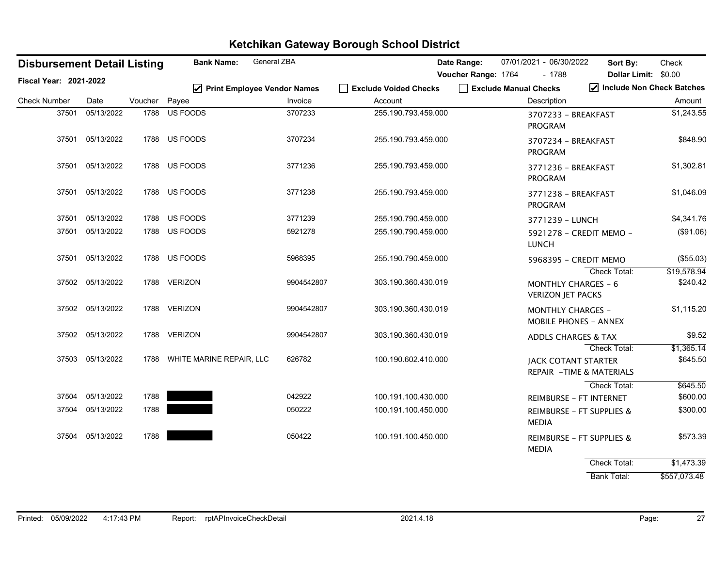| <b>Disbursement Detail Listing</b> |                  |         | <b>Bank Name:</b>        | <b>General ZBA</b>            |                       | Date Range:         | 07/01/2021 - 06/30/2022                                  | Sort By:                  | Check        |
|------------------------------------|------------------|---------|--------------------------|-------------------------------|-----------------------|---------------------|----------------------------------------------------------|---------------------------|--------------|
| Fiscal Year: 2021-2022             |                  |         |                          |                               |                       | Voucher Range: 1764 | - 1788                                                   | Dollar Limit: \$0.00      |              |
|                                    |                  |         |                          | ☑ Print Employee Vendor Names | Exclude Voided Checks |                     | Exclude Manual Checks                                    | Include Non Check Batches |              |
| <b>Check Number</b>                | Date             | Voucher | Payee                    | Invoice                       | Account               |                     | Description                                              |                           | Amount       |
| 37501                              | 05/13/2022       | 1788    | US FOODS                 | 3707233                       | 255.190.793.459.000   |                     | 3707233 - BREAKFAST<br><b>PROGRAM</b>                    |                           | \$1,243.55   |
| 37501                              | 05/13/2022       |         | 1788 US FOODS            | 3707234                       | 255.190.793.459.000   |                     | 3707234 - BREAKFAST<br><b>PROGRAM</b>                    |                           | \$848.90     |
| 37501                              | 05/13/2022       |         | 1788 US FOODS            | 3771236                       | 255.190.793.459.000   |                     | 3771236 - BREAKFAST<br><b>PROGRAM</b>                    |                           | \$1,302.81   |
| 37501                              | 05/13/2022       |         | 1788 US FOODS            | 3771238                       | 255.190.793.459.000   |                     | 3771238 - BREAKFAST<br><b>PROGRAM</b>                    |                           | \$1,046.09   |
| 37501                              | 05/13/2022       | 1788    | US FOODS                 | 3771239                       | 255.190.790.459.000   |                     | 3771239 - LUNCH                                          |                           | \$4,341.76   |
| 37501                              | 05/13/2022       |         | 1788 US FOODS            | 5921278                       | 255.190.790.459.000   |                     | 5921278 - CREDIT MEMO -<br><b>LUNCH</b>                  |                           | (\$91.06)    |
| 37501                              | 05/13/2022       |         | 1788 US FOODS            | 5968395                       | 255.190.790.459.000   |                     | 5968395 - CREDIT MEMO                                    |                           | (\$55.03)    |
|                                    |                  |         |                          |                               |                       |                     |                                                          | Check Total:              | \$19,578.94  |
|                                    | 37502 05/13/2022 |         | 1788 VERIZON             | 9904542807                    | 303.190.360.430.019   |                     | <b>MONTHLY CHARGES - 6</b><br><b>VERIZON JET PACKS</b>   |                           | \$240.42     |
|                                    | 37502 05/13/2022 |         | 1788 VERIZON             | 9904542807                    | 303.190.360.430.019   |                     | <b>MONTHLY CHARGES -</b><br><b>MOBILE PHONES - ANNEX</b> |                           | \$1,115.20   |
| 37502                              | 05/13/2022       |         | 1788 VERIZON             | 9904542807                    | 303.190.360.430.019   |                     | <b>ADDLS CHARGES &amp; TAX</b>                           |                           | \$9.52       |
|                                    |                  |         |                          |                               |                       |                     |                                                          | Check Total:              | \$1,365.14   |
| 37503                              | 05/13/2022       | 1788    | WHITE MARINE REPAIR, LLC | 626782                        | 100.190.602.410.000   |                     | <b>JACK COTANT STARTER</b><br>REPAIR - TIME & MATERIALS  |                           | \$645.50     |
|                                    |                  |         |                          |                               |                       |                     |                                                          | Check Total:              | \$645.50     |
| 37504                              | 05/13/2022       | 1788    |                          | 042922                        | 100.191.100.430.000   |                     | <b>REIMBURSE - FT INTERNET</b>                           |                           | \$600.00     |
| 37504                              | 05/13/2022       | 1788    |                          | 050222                        | 100.191.100.450.000   |                     | <b>REIMBURSE - FT SUPPLIES &amp;</b><br><b>MEDIA</b>     |                           | \$300.00     |
| 37504                              | 05/13/2022       | 1788    |                          | 050422                        | 100.191.100.450.000   |                     | <b>REIMBURSE - FT SUPPLIES &amp;</b><br><b>MEDIA</b>     |                           | \$573.39     |
|                                    |                  |         |                          |                               |                       |                     |                                                          | Check Total:              | \$1,473.39   |
|                                    |                  |         |                          |                               |                       |                     |                                                          | <b>Bank Total:</b>        | \$557,073.48 |